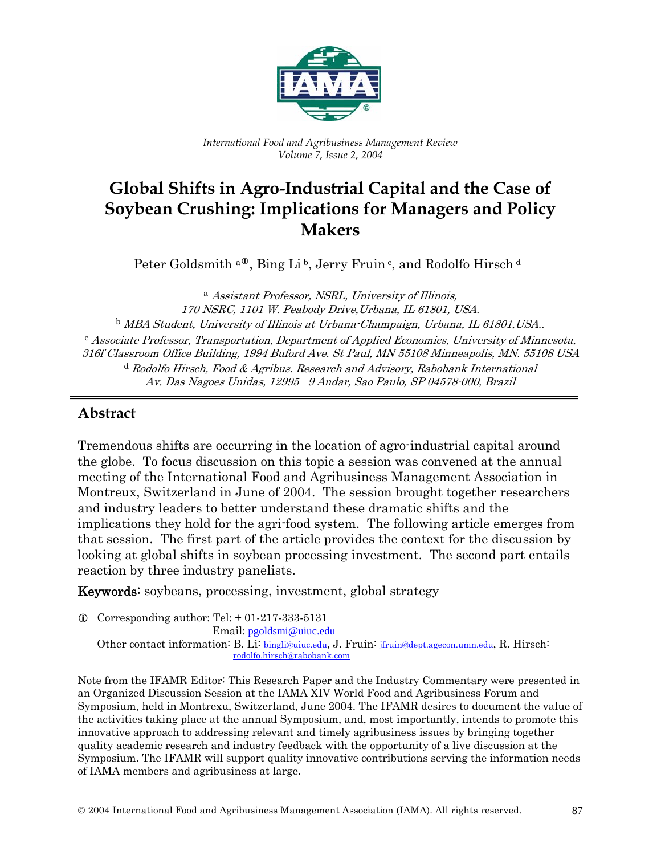

*International Food and Agribusiness Management Review Volume 7, Issue 2, 2004* 

# **Global Shifts in Agro-Industrial Capital and the Case of Soybean Crushing: Implications for Managers and Policy Makers**

Peter Goldsmith  $a^{\circ}$ , Bing [L](#page-0-0)i b, Jerry Fruin c, and Rodolfo Hirsch d

<sup>a</sup> Assistant Professor, NSRL, University of Illinois, 170 NSRC, 1101 W. Peabody Drive,Urbana, IL 61801, USA. <sup>b</sup> MBA Student, University of Illinois at Urbana-Champaign, Urbana, IL 61801,USA.. <sup>c</sup> Associate Professor, Transportation, Department of Applied Economics, University of Minnesota, 316f Classroom Office Building, 1994 Buford Ave. St Paul, MN 55108 Minneapolis, MN. 55108 USA <sup>d</sup> Rodolfo Hirsch, Food & Agribus. Research and Advisory, Rabobank International Av. Das Nagoes Unidas, 12995 9 Andar, Sao Paulo, SP 04578-000, Brazil

## **Abstract**

 $\overline{a}$ 

Tremendous shifts are occurring in the location of agro-industrial capital around the globe. To focus discussion on this topic a session was convened at the annual meeting of the International Food and Agribusiness Management Association in Montreux, Switzerland in June of 2004. The session brought together researchers and industry leaders to better understand these dramatic shifts and the implications they hold for the agri-food system. The following article emerges from that session. The first part of the article provides the context for the discussion by looking at global shifts in soybean processing investment. The second part entails reaction by three industry panelists.

Keywords: soybeans, processing, investment, global strategy

<span id="page-0-0"></span> $Q$  Corresponding author: Tel: + 01-217-333-5131

Email: [pgoldsmi@uiuc.edu](mailto:pgoldsmi@uiuc.edu)

Other contact information: B. Li: bingli@uiuc.edu, J. Fruin: jfruin@dept.agecon.umn.edu, R. Hirsch: rodolfo.hirsch@rabobank.com

Note from the IFAMR Editor: This Research Paper and the Industry Commentary were presented in an Organized Discussion Session at the IAMA XIV World Food and Agribusiness Forum and Symposium, held in Montrexu, Switzerland, June 2004. The IFAMR desires to document the value of the activities taking place at the annual Symposium, and, most importantly, intends to promote this innovative approach to addressing relevant and timely agribusiness issues by bringing together quality academic research and industry feedback with the opportunity of a live discussion at the Symposium. The IFAMR will support quality innovative contributions serving the information needs of IAMA members and agribusiness at large.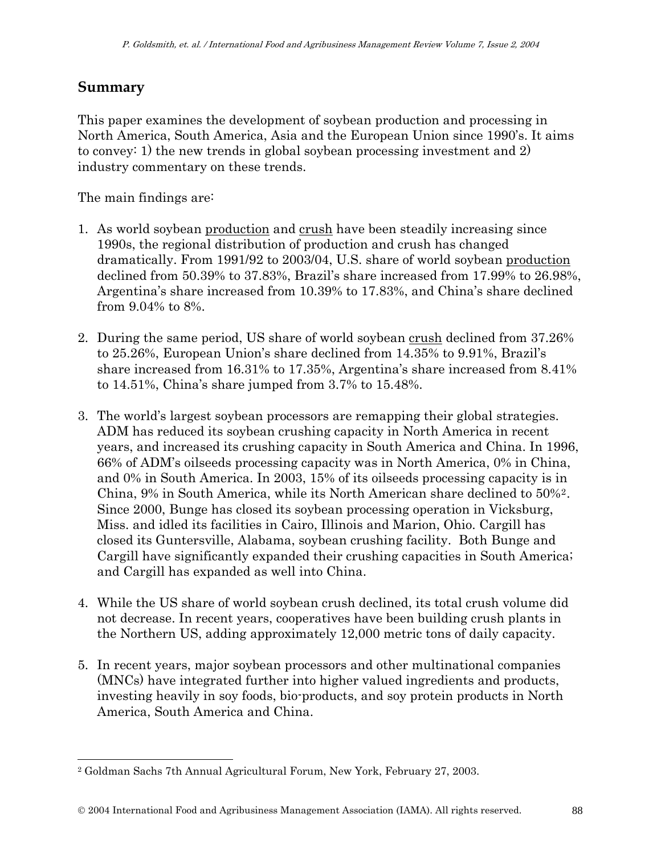## **Summary**

l

This paper examines the development of soybean production and processing in North America, South America, Asia and the European Union since 1990's. It aims to convey: 1) the new trends in global soybean processing investment and 2) industry commentary on these trends.

The main findings are:

- 1. As world soybean production and crush have been steadily increasing since 1990s, the regional distribution of production and crush has changed dramatically. From 1991/92 to 2003/04, U.S. share of world soybean production declined from 50.39% to 37.83%, Brazil's share increased from 17.99% to 26.98%, Argentina's share increased from 10.39% to 17.83%, and China's share declined from 9.04% to 8%.
- 2. During the same period, US share of world soybean crush declined from 37.26% to 25.26%, European Union's share declined from 14.35% to 9.91%, Brazil's share increased from 16.31% to 17.35%, Argentina's share increased from 8.41% to 14.51%, China's share jumped from 3.7% to 15.48%.
- 3. The world's largest soybean processors are remapping their global strategies. ADM has reduced its soybean crushing capacity in North America in recent years, and increased its crushing capacity in South America and China. In 1996, 66% of ADM's oilseeds processing capacity was in North America, 0% in China, and 0% in South America. In 2003, 15% of its oilseeds processing capacity is in China, 9% in South America, while its North American share declined to 50%[2](#page-1-0). Since 2000, Bunge has closed its soybean processing operation in Vicksburg, Miss. and idled its facilities in Cairo, Illinois and Marion, Ohio. Cargill has closed its Guntersville, Alabama, soybean crushing facility. Both Bunge and Cargill have significantly expanded their crushing capacities in South America; and Cargill has expanded as well into China.
- 4. While the US share of world soybean crush declined, its total crush volume did not decrease. In recent years, cooperatives have been building crush plants in the Northern US, adding approximately 12,000 metric tons of daily capacity.
- 5. In recent years, major soybean processors and other multinational companies (MNCs) have integrated further into higher valued ingredients and products, investing heavily in soy foods, bio-products, and soy protein products in North America, South America and China.

<span id="page-1-0"></span><sup>2</sup> Goldman Sachs 7th Annual Agricultural Forum, New York, February 27, 2003.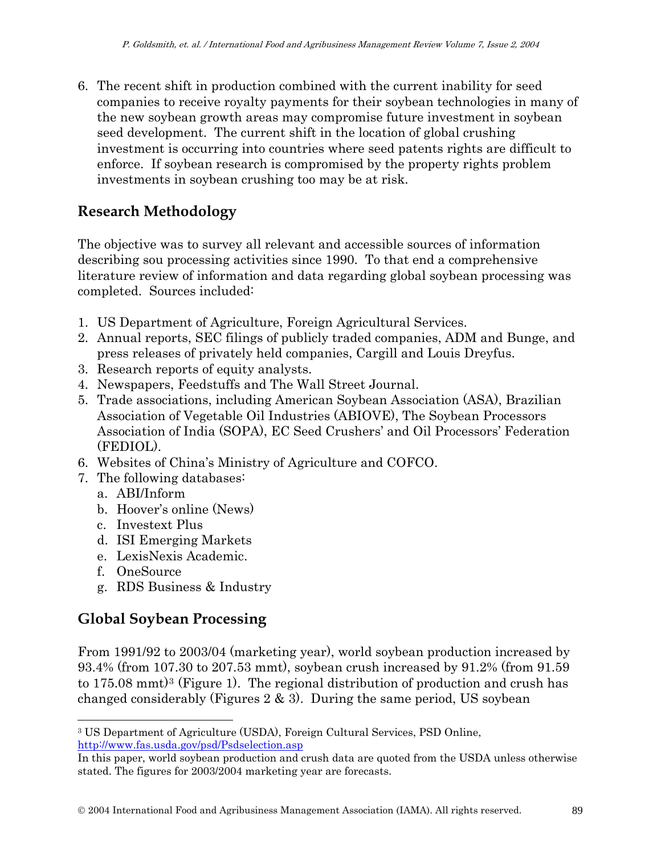6. The recent shift in production combined with the current inability for seed companies to receive royalty payments for their soybean technologies in many of the new soybean growth areas may compromise future investment in soybean seed development. The current shift in the location of global crushing investment is occurring into countries where seed patents rights are difficult to enforce. If soybean research is compromised by the property rights problem investments in soybean crushing too may be at risk.

## **Research Methodology**

The objective was to survey all relevant and accessible sources of information describing sou processing activities since 1990. To that end a comprehensive literature review of information and data regarding global soybean processing was completed. Sources included:

- 1. US Department of Agriculture, Foreign Agricultural Services.
- 2. Annual reports, SEC filings of publicly traded companies, ADM and Bunge, and press releases of privately held companies, Cargill and Louis Dreyfus.
- 3. Research reports of equity analysts.
- 4. Newspapers, Feedstuffs and The Wall Street Journal.
- 5. Trade associations, including American Soybean Association (ASA), Brazilian Association of Vegetable Oil Industries (ABIOVE), The Soybean Processors Association of India (SOPA), EC Seed Crushers' and Oil Processors' Federation (FEDIOL).
- 6. Websites of China's Ministry of Agriculture and COFCO.
- 7. The following databases:
	- a. ABI/Inform
	- b. Hoover's online (News)
	- c. Investext Plus
	- d. ISI Emerging Markets
	- e. LexisNexis Academic.
	- f. OneSource

 $\overline{a}$ 

g. RDS Business & Industry

## **Global Soybean Processing**

From 1991/92 to 2003/04 (marketing year), world soybean production increased by 93.4% (from 107.30 to 207.53 mmt), soybean crush increased by 91.2% (from 91.59 to 175.08 mmt)[3](#page-2-0) (Figure 1). The regional distribution of production and crush has changed considerably (Figures  $2 \& 3$ ). During the same period, US soybean

<span id="page-2-0"></span><sup>3</sup> US Department of Agriculture (USDA), Foreign Cultural Services, PSD Online, <http://www.fas.usda.gov/psd/Psdselection.asp>

In this paper, world soybean production and crush data are quoted from the USDA unless otherwise stated. The figures for 2003/2004 marketing year are forecasts.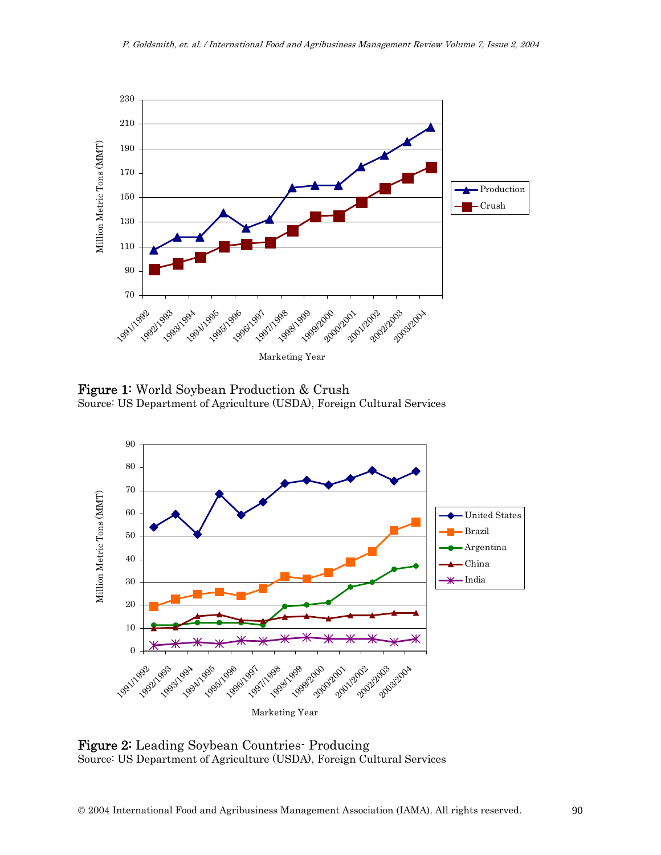

Figure 1: World Soybean Production & Crush Source: US Department of Agriculture (USDA), Foreign Cultural Services



Figure 2: Leading Soybean Countries- Producing Source: US Department of Agriculture (USDA), Foreign Cultural Services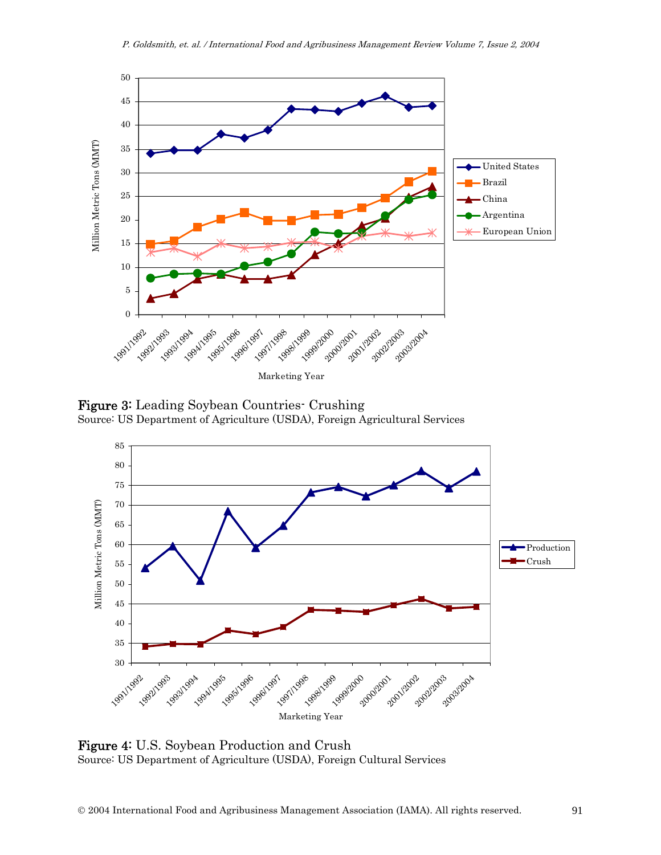

Figure 3: Leading Soybean Countries- Crushing Source: US Department of Agriculture (USDA), Foreign Agricultural Services



Figure 4: U.S. Soybean Production and Crush Source: US Department of Agriculture (USDA), Foreign Cultural Services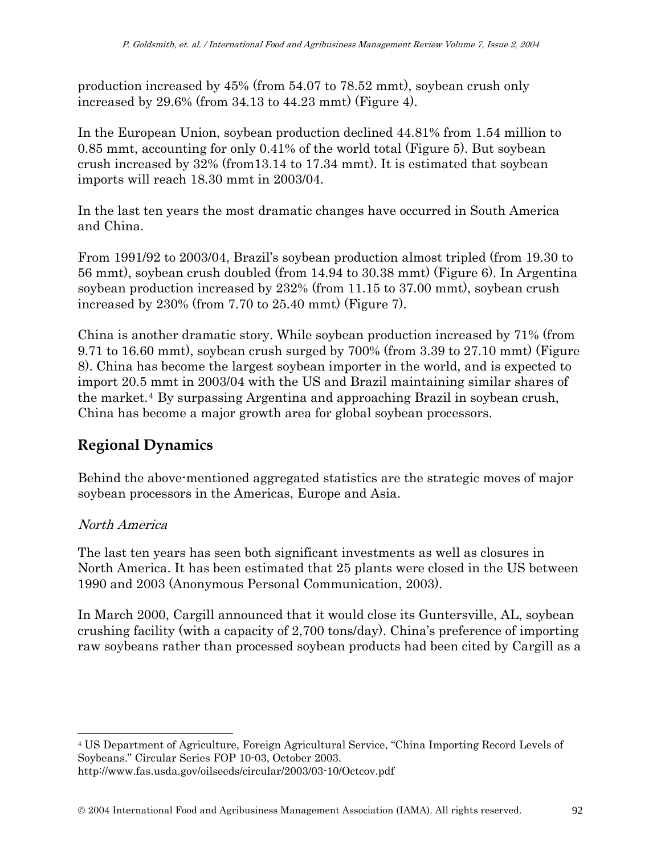production increased by 45% (from 54.07 to 78.52 mmt), soybean crush only increased by 29.6% (from 34.13 to 44.23 mmt) (Figure 4).

In the European Union, soybean production declined 44.81% from 1.54 million to 0.85 mmt, accounting for only 0.41% of the world total (Figure 5). But soybean crush increased by 32% (from13.14 to 17.34 mmt). It is estimated that soybean imports will reach 18.30 mmt in 2003/04.

In the last ten years the most dramatic changes have occurred in South America and China.

From 1991/92 to 2003/04, Brazil's soybean production almost tripled (from 19.30 to 56 mmt), soybean crush doubled (from 14.94 to 30.38 mmt) (Figure 6). In Argentina soybean production increased by 232% (from 11.15 to 37.00 mmt), soybean crush increased by 230% (from 7.70 to 25.40 mmt) (Figure 7).

China is another dramatic story. While soybean production increased by 71% (from 9.71 to 16.60 mmt), soybean crush surged by 700% (from 3.39 to 27.10 mmt) (Figure 8). China has become the largest soybean importer in the world, and is expected to import 20.5 mmt in 2003/04 with the US and Brazil maintaining similar shares of the market.[4](#page-5-0) By surpassing Argentina and approaching Brazil in soybean crush, China has become a major growth area for global soybean processors.

## **Regional Dynamics**

Behind the above-mentioned aggregated statistics are the strategic moves of major soybean processors in the Americas, Europe and Asia.

## North America

 $\overline{a}$ 

The last ten years has seen both significant investments as well as closures in North America. It has been estimated that 25 plants were closed in the US between 1990 and 2003 (Anonymous Personal Communication, 2003).

In March 2000, Cargill announced that it would close its Guntersville, AL, soybean crushing facility (with a capacity of 2,700 tons/day). China's preference of importing raw soybeans rather than processed soybean products had been cited by Cargill as a

<span id="page-5-0"></span><sup>4</sup> US Department of Agriculture, Foreign Agricultural Service, "China Importing Record Levels of Soybeans." Circular Series FOP 10-03, October 2003.

http://www.fas.usda.gov/oilseeds/circular/2003/03-10/Octcov.pdf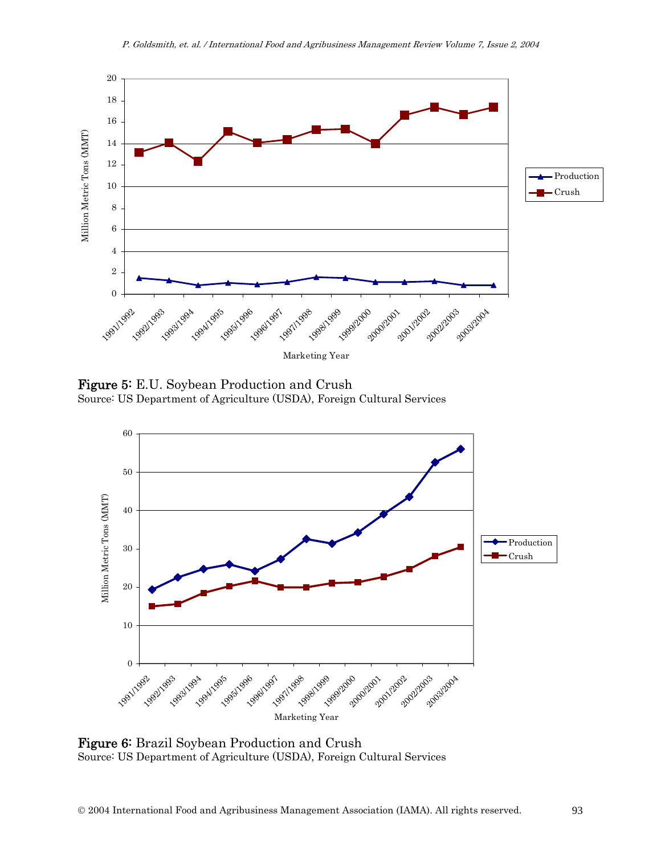

Figure 5: E.U. Soybean Production and Crush Source: US Department of Agriculture (USDA), Foreign Cultural Services



Figure 6: Brazil Soybean Production and Crush Source: US Department of Agriculture (USDA), Foreign Cultural Services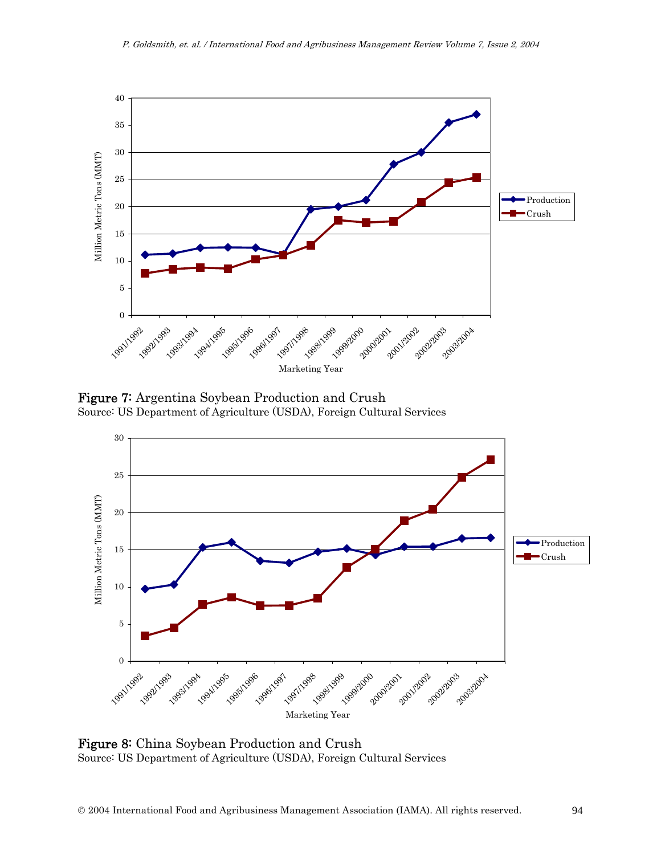

Figure 7: Argentina Soybean Production and Crush Source: US Department of Agriculture (USDA), Foreign Cultural Services



Figure 8: China Soybean Production and Crush Source: US Department of Agriculture (USDA), Foreign Cultural Services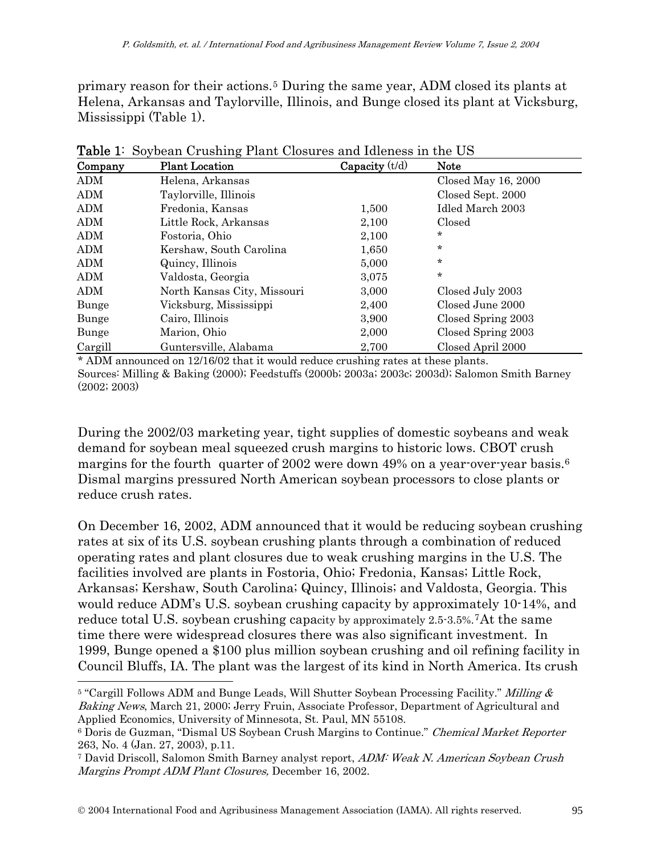primary reason for their actions.[5](#page-8-0) During the same year, ADM closed its plants at Helena, Arkansas and Taylorville, Illinois, and Bunge closed its plant at Vicksburg, Mississippi (Table 1).

| Company    | <b>Plant Location</b>       | Capacity $(t/d)$ | <b>Note</b>         |  |
|------------|-----------------------------|------------------|---------------------|--|
| <b>ADM</b> | Helena, Arkansas            |                  | Closed May 16, 2000 |  |
| <b>ADM</b> | Taylorville, Illinois       |                  | Closed Sept. 2000   |  |
| ADM        | Fredonia, Kansas            | 1,500            | Idled March 2003    |  |
| ADM        | Little Rock, Arkansas       | 2,100            | Closed              |  |
| ADM        | Fostoria, Ohio              | 2,100            | $\ast$              |  |
| ADM        | Kershaw, South Carolina     | 1,650            | $\star$             |  |
| ADM        | Quincy, Illinois            | 5,000            | $\star$             |  |
| <b>ADM</b> | Valdosta, Georgia           | 3,075            | $\star$             |  |
| ADM        | North Kansas City, Missouri | 3,000            | Closed July 2003    |  |
| Bunge      | Vicksburg, Mississippi      | 2,400            | Closed June 2000    |  |
| Bunge      | Cairo, Illinois             | 3,900            | Closed Spring 2003  |  |
| Bunge      | Marion, Ohio                | 2,000            | Closed Spring 2003  |  |
| Cargill    | Guntersville, Alabama       | 2,700            | Closed April 2000   |  |

Table 1: Soybean Crushing Plant Closures and Idleness in the US

\* ADM announced on 12/16/02 that it would reduce crushing rates at these plants. Sources: Milling & Baking (2000); Feedstuffs (2000b; 2003a; 2003c; 2003d); Salomon Smith Barney (2002; 2003)

During the 2002/03 marketing year, tight supplies of domestic soybeans and weak demand for soybean meal squeezed crush margins to historic lows. CBOT crush margins for the fourth quarter of 2002 were down 49% on a year-over-year basis[.6](#page-8-1) Dismal margins pressured North American soybean processors to close plants or reduce crush rates.

On December 16, 2002, ADM announced that it would be reducing soybean crushing rates at six of its U.S. soybean crushing plants through a combination of reduced operating rates and plant closures due to weak crushing margins in the U.S. The facilities involved are plants in Fostoria, Ohio; Fredonia, Kansas; Little Rock, Arkansas; Kershaw, South Carolina; Quincy, Illinois; and Valdosta, Georgia. This would reduce ADM's U.S. soybean crushing capacity by approximately 10-14%, and reduce total U.S. soybean crushing capacity by approximately 2.5-3.5%.[7](#page-8-2)At the same time there were widespread closures there was also significant investment. In 1999, Bunge opened a \$100 plus million soybean crushing and oil refining facility in Council Bluffs, IA. The plant was the largest of its kind in North America. Its crush

 $\overline{a}$ 

<span id="page-8-0"></span> $5$  "Cargill Follows ADM and Bunge Leads, Will Shutter Soybean Processing Facility." Milling  $\&$ Baking News, March 21, 2000; Jerry Fruin, Associate Professor, Department of Agricultural and Applied Economics, University of Minnesota, St. Paul, MN 55108.

<span id="page-8-1"></span><sup>6</sup> Doris de Guzman, "Dismal US Soybean Crush Margins to Continue." Chemical Market Reporter 263, No. 4 (Jan. 27, 2003), p.11.

<span id="page-8-2"></span><sup>7</sup> David Driscoll, Salomon Smith Barney analyst report, ADM: Weak N. American Soybean Crush Margins Prompt ADM Plant Closures, December 16, 2002.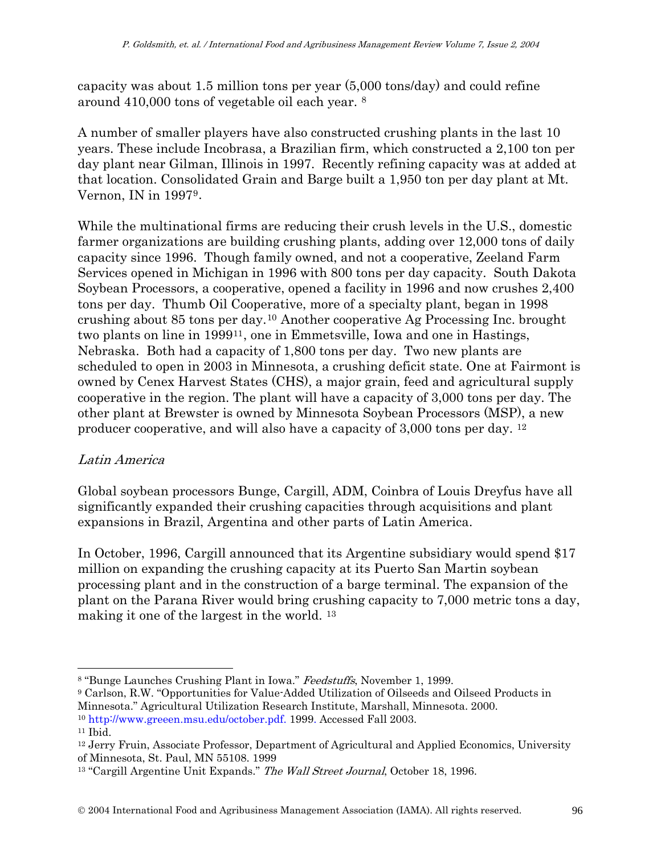capacity was about 1.5 million tons per year (5,000 tons/day) and could refine around 410,000 tons of vegetable oil each year. [8](#page-9-0)

A number of smaller players have also constructed crushing plants in the last 10 years. These include Incobrasa, a Brazilian firm, which constructed a 2,100 ton per day plant near Gilman, Illinois in 1997. Recently refining capacity was at added at that location. Consolidated Grain and Barge built a 1,950 ton per day plant at Mt. Vernon, IN in 1997[9](#page-9-1).

While the multinational firms are reducing their crush levels in the U.S., domestic farmer organizations are building crushing plants, adding over 12,000 tons of daily capacity since 1996. Though family owned, and not a cooperative, Zeeland Farm Services opened in Michigan in 1996 with 800 tons per day capacity. South Dakota Soybean Processors, a cooperative, opened a facility in 1996 and now crushes 2,400 tons per day. Thumb Oil Cooperative, more of a specialty plant, began in 1998 crushing about 85 tons per day.[10](#page-9-2) Another cooperative Ag Processing Inc. brought two plants on line in 1999[11](#page-9-3), one in Emmetsville, Iowa and one in Hastings, Nebraska. Both had a capacity of 1,800 tons per day. Two new plants are scheduled to open in 2003 in Minnesota, a crushing deficit state. One at Fairmont is owned by Cenex Harvest States (CHS), a major grain, feed and agricultural supply cooperative in the region. The plant will have a capacity of 3,000 tons per day. The other plant at Brewster is owned by Minnesota Soybean Processors (MSP), a new producer cooperative, and will also have a capacity of 3,000 tons per day. [12](#page-9-4)

## Latin America

Global soybean processors Bunge, Cargill, ADM, Coinbra of Louis Dreyfus have all significantly expanded their crushing capacities through acquisitions and plant expansions in Brazil, Argentina and other parts of Latin America.

In October, 1996, Cargill announced that its Argentine subsidiary would spend \$17 million on expanding the crushing capacity at its Puerto San Martin soybean processing plant and in the construction of a barge terminal. The expansion of the plant on the Parana River would bring crushing capacity to 7,000 metric tons a day, making it one of the largest in the world. [13](#page-9-5)

<span id="page-9-3"></span><span id="page-9-2"></span><sup>10</sup> http://www.greeen.msu.edu/october.pdf. 1999. Accessed Fall [2003](http://www.greeen.msu.edu/october.pdf.%20%20%20%20%20%20Accessed%20Fall%202003). 11 Ibid.

 $\overline{a}$ 

<span id="page-9-0"></span><sup>&</sup>lt;sup>8</sup> "Bunge Launches Crushing Plant in Iowa." Feedstuffs, November 1, 1999.

<span id="page-9-1"></span><sup>9</sup> Carlson, R.W. "Opportunities for Value-Added Utilization of Oilseeds and Oilseed Products in Minnesota." Agricultural Utilization Research Institute, Marshall, Minnesota. 2000.

<span id="page-9-4"></span><sup>&</sup>lt;sup>12</sup> Jerry Fruin, Associate Professor, Department of Agricultural and Applied Economics, University of Minnesota, St. Paul, MN 55108. 1999

<span id="page-9-5"></span><sup>&</sup>lt;sup>13</sup> "Cargill Argentine Unit Expands." The Wall Street Journal, October 18, 1996.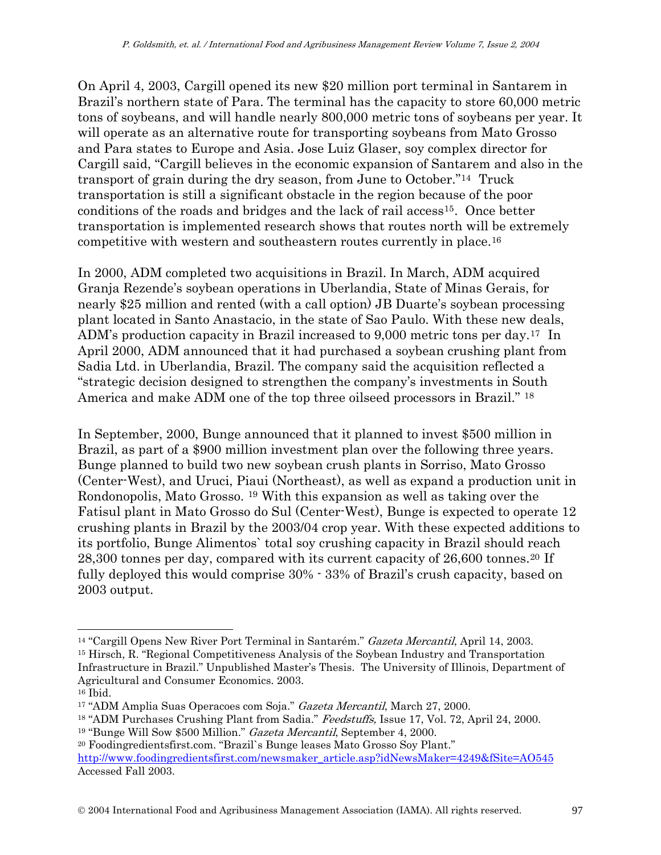On April 4, 2003, Cargill opened its new \$20 million port terminal in Santarem in Brazil's northern state of Para. The terminal has the capacity to store 60,000 metric tons of soybeans, and will handle nearly 800,000 metric tons of soybeans per year. It will operate as an alternative route for transporting soybeans from Mato Grosso and Para states to Europe and Asia. Jose Luiz Glaser, soy complex director for Cargill said, "Cargill believes in the economic expansion of Santarem and also in the transport of grain during the dry season, from June to October."[14](#page-10-0) Truck transportation is still a significant obstacle in the region because of the poor conditions of the roads and bridges and the lack of rail access[15](#page-10-1). Once better transportation is implemented research shows that routes north will be extremely competitive with western and southeastern routes currently in place.[16](#page-10-2)

In 2000, ADM completed two acquisitions in Brazil. In March, ADM acquired Granja Rezende's soybean operations in Uberlandia, State of Minas Gerais, for nearly \$25 million and rented (with a call option) JB Duarte's soybean processing plant located in Santo Anastacio, in the state of Sao Paulo. With these new deals, ADM's production capacity in Brazil increased to 9,000 metric tons per day.[17](#page-10-3) In April 2000, ADM announced that it had purchased a soybean crushing plant from Sadia Ltd. in Uberlandia, Brazil. The company said the acquisition reflected a "strategic decision designed to strengthen the company's investments in South America and make ADM one of the top three oilseed processors in Brazil." [18](#page-10-4)

In September, 2000, Bunge announced that it planned to invest \$500 million in Brazil, as part of a \$900 million investment plan over the following three years. Bunge planned to build two new soybean crush plants in Sorriso, Mato Grosso (Center-West), and Uruci, Piaui (Northeast), as well as expand a production unit in Rondonopolis, Mato Grosso. [19](#page-10-5) With this expansion as well as taking over the Fatisul plant in Mato Grosso do Sul (Center-West), Bunge is expected to operate 12 crushing plants in Brazil by the 2003/04 crop year. With these expected additions to its portfolio, Bunge Alimentos` total soy crushing capacity in Brazil should reach 28,300 tonnes per day, compared with its current capacity of 26,600 tonnes.[20](#page-10-6) If fully deployed this would comprise 30% - 33% of Brazil's crush capacity, based on 2003 output.

 $\overline{a}$ 

<span id="page-10-5"></span>19 "Bunge Will Sow \$500 Million." Gazeta Mercantil, September 4, 2000.

© 2004 International Food and Agribusiness Management Association (IAMA). All rights reserved. 97

<span id="page-10-1"></span><span id="page-10-0"></span><sup>&</sup>lt;sup>14</sup> "Cargill Opens New River Port Terminal in Santarém." Gazeta Mercantil, April 14, 2003. 15 Hirsch, R. "Regional Competitiveness Analysis of the Soybean Industry and Transportation Infrastructure in Brazil." Unpublished Master's Thesis. The University of Illinois, Department of Agricultural and Consumer Economics. 2003.

<span id="page-10-2"></span><sup>16</sup> Ibid.

<span id="page-10-3"></span><sup>&</sup>lt;sup>17</sup> "ADM Amplia Suas Operacoes com Soja." Gazeta Mercantil, March 27, 2000.

<span id="page-10-4"></span><sup>&</sup>lt;sup>18</sup> "ADM Purchases Crushing Plant from Sadia." *Feedstuffs*, Issue 17, Vol. 72, April 24, 2000.

<span id="page-10-6"></span><sup>20</sup> Foodingredientsfirst.com. "Brazil`s Bunge leases Mato Grosso Soy Plant." [http://www.foodingredientsfirst.com/newsmaker\\_article.asp?idNewsMaker=4249&fSite=AO545](http://www.foodingredientsfirst.com/newsmaker_article.asp?idNewsMaker=4249&fSite=AO545)  Accessed Fall 2003.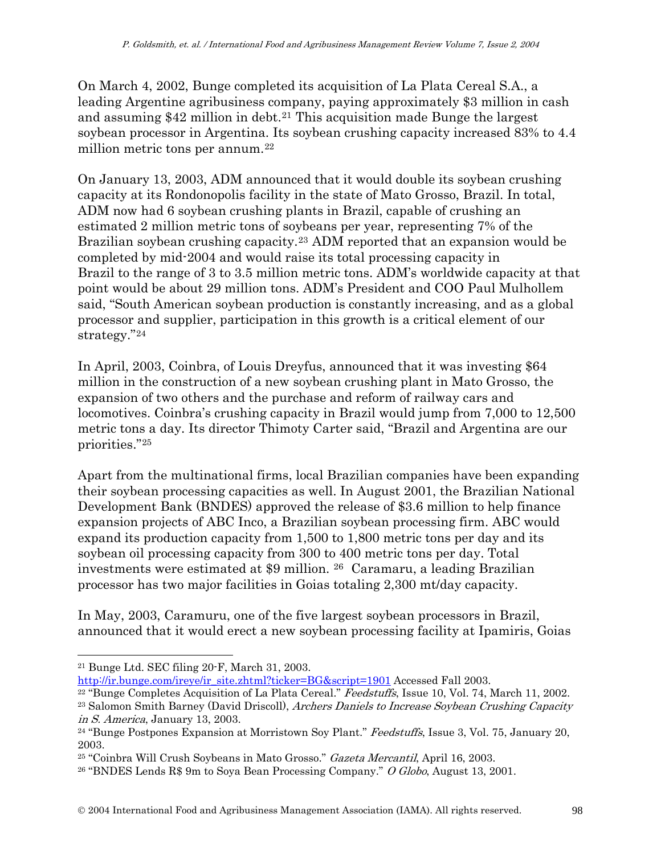On March 4, 2002, Bunge completed its acquisition of La Plata Cereal S.A., a leading Argentine agribusiness company, paying approximately \$3 million in cash and assuming  $$42$  million in debt.<sup>[21](#page-11-0)</sup> This acquisition made Bunge the largest soybean processor in Argentina. Its soybean crushing capacity increased 83% to 4.4 million metric tons per annum.<sup>[22](#page-11-1)</sup>

On January 13, 2003, ADM announced that it would double its soybean crushing capacity at its Rondonopolis facility in the state of Mato Grosso, Brazil. In total, ADM now had 6 soybean crushing plants in Brazil, capable of crushing an estimated 2 million metric tons of soybeans per year, representing 7% of the Brazilian soybean crushing capacity.[23](#page-11-2) ADM reported that an expansion would be completed by mid-2004 and would raise its total processing capacity in Brazil to the range of 3 to 3.5 million metric tons. ADM's worldwide capacity at that point would be about 29 million tons. ADM's President and COO Paul Mulhollem said, "South American soybean production is constantly increasing, and as a global processor and supplier, participation in this growth is a critical element of our strategy."[24](#page-11-3)

In April, 2003, Coinbra, of Louis Dreyfus, announced that it was investing \$64 million in the construction of a new soybean crushing plant in Mato Grosso, the expansion of two others and the purchase and reform of railway cars and locomotives. Coinbra's crushing capacity in Brazil would jump from 7,000 to 12,500 metric tons a day. Its director Thimoty Carter said, "Brazil and Argentina are our priorities."[25](#page-11-4)

Apart from the multinational firms, local Brazilian companies have been expanding their soybean processing capacities as well. In August 2001, the Brazilian National Development Bank (BNDES) approved the release of \$3.6 million to help finance expansion projects of ABC Inco, a Brazilian soybean processing firm. ABC would expand its production capacity from 1,500 to 1,800 metric tons per day and its soybean oil processing capacity from 300 to 400 metric tons per day. Total investments were estimated at \$9 million. [26](#page-11-5) Caramaru, a leading Brazilian processor has two major facilities in Goias totaling 2,300 mt/day capacity.

In May, 2003, Caramuru, one of the five largest soybean processors in Brazil, announced that it would erect a new soybean processing facility at Ipamiris, Goias

<span id="page-11-2"></span><span id="page-11-1"></span><sup>22</sup> "Bunge Completes Acquisition of La Plata Cereal." *Feedstuffs*, Issue 10, Vol. 74, March 11, 2002. <sup>23</sup> Salomon Smith Barney (David Driscoll), Archers Daniels to Increase Soybean Crushing Capacity

 $\overline{a}$ 

<span id="page-11-0"></span><sup>&</sup>lt;sup>21</sup> Bunge Ltd. SEC filing 20-F, March 31, 2003.<br>http://ir.bunge.com/ireye/ir\_site.zhtml?ticker=BG&script=1901 Accessed Fall 2003.

<span id="page-11-3"></span>in S. America, January 13, 2003.<br><sup>24</sup> "Bunge Postpones Expansion at Morristown Soy Plant." *Feedstuffs*, Issue 3, Vol. 75, January 20, 2003.

<span id="page-11-4"></span><sup>25 &</sup>quot;Coinbra Will Crush Soybeans in Mato Grosso." Gazeta Mercantil, April 16, 2003.

<span id="page-11-5"></span><sup>26 &</sup>quot;BNDES Lends R\$ 9m to Soya Bean Processing Company." O Globo, August 13, 2001.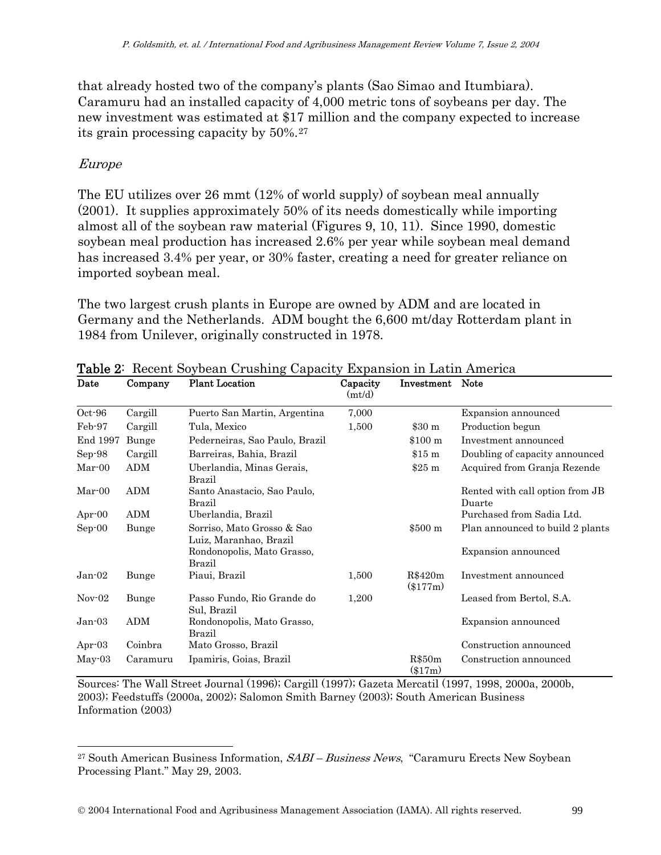that already hosted two of the company's plants (Sao Simao and Itumbiara). Caramuru had an installed capacity of 4,000 metric tons of soybeans per day. The new investment was estimated at \$17 million and the company expected to increase its grain processing capacity by 50%.[27](#page-12-0)

#### Europe

l

The EU utilizes over 26 mmt (12% of world supply) of soybean meal annually (2001). It supplies approximately 50% of its needs domestically while importing almost all of the soybean raw material (Figures 9, 10, 11). Since 1990, domestic soybean meal production has increased 2.6% per year while soybean meal demand has increased 3.4% per year, or 30% faster, creating a need for greater reliance on imported soybean meal.

The two largest crush plants in Europe are owned by ADM and are located in Germany and the Netherlands. ADM bought the 6,600 mt/day Rotterdam plant in 1984 from Unilever, originally constructed in 1978.

| Date      | Company    | <b>Plant Location</b>                                | Capacity<br>(mt/d) | Investment          | <b>Note</b>                               |
|-----------|------------|------------------------------------------------------|--------------------|---------------------|-------------------------------------------|
| Oct-96    | Cargill    | Puerto San Martin, Argentina                         | 7,000              |                     | Expansion announced                       |
| Feb-97    | Cargill    | Tula, Mexico                                         | 1,500              | \$30 <sub>m</sub>   | Production begun                          |
| End 1997  | Bunge      | Pederneiras, Sao Paulo, Brazil                       |                    | \$100 m             | Investment announced                      |
| Sep-98    | Cargill    | Barreiras, Bahia, Brazil                             |                    | \$15 m              | Doubling of capacity announced            |
| $Mar-00$  | <b>ADM</b> | Uberlandia, Minas Gerais,<br>Brazil                  |                    | \$25 m              | Acquired from Granja Rezende              |
| $Mar-00$  | ADM        | Santo Anastacio, Sao Paulo,<br>Brazil                |                    |                     | Rented with call option from JB<br>Duarte |
| Apr $-00$ | <b>ADM</b> | Uberlandia, Brazil                                   |                    |                     | Purchased from Sadia Ltd.                 |
| $Sep-00$  | Bunge      | Sorriso, Mato Grosso & Sao<br>Luiz, Maranhao, Brazil |                    | \$500 <sub>m</sub>  | Plan announced to build 2 plants          |
|           |            | Rondonopolis, Mato Grasso,<br><b>Brazil</b>          |                    |                     | Expansion announced                       |
| $Jan-02$  | Bunge      | Piaui, Brazil                                        | 1,500              | R\$420m<br>(\$177m) | Investment announced                      |
| $Nov-02$  | Bunge      | Passo Fundo, Rio Grande do<br>Sul, Brazil            | 1,200              |                     | Leased from Bertol, S.A.                  |
| Jan-03    | ADM        | Rondonopolis, Mato Grasso,<br><b>Brazil</b>          |                    |                     | Expansion announced                       |
| Apr $-03$ | Coinbra    | Mato Grosso, Brazil                                  |                    |                     | Construction announced                    |
| May-03    | Caramuru   | Ipamiris, Goias, Brazil                              |                    | R\$50m<br>$(\$17m)$ | Construction announced                    |

Table 2: Recent Soybean Crushing Capacity Expansion in Latin America

Sources: The Wall Street Journal (1996); Cargill (1997); Gazeta Mercatil (1997, 1998, 2000a, 2000b, 2003); Feedstuffs (2000a, 2002); Salomon Smith Barney (2003); South American Business Information (2003)

<span id="page-12-0"></span> $27$  South American Business Information,  $SABI - Business$  News, "Caramuru Erects New Soybean Processing Plant." May 29, 2003.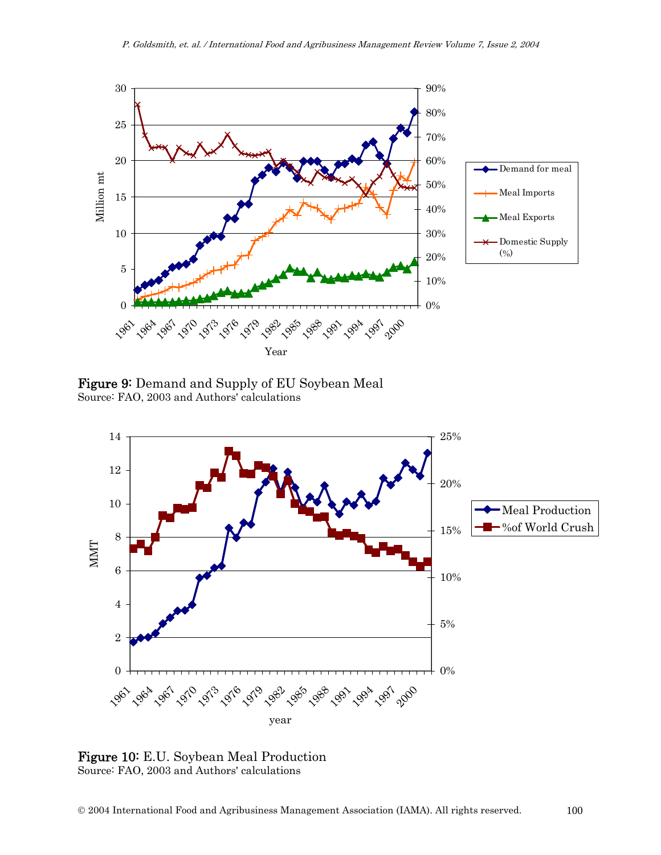

Figure 9: Demand and Supply of EU Soybean Meal Source: FAO, 2003 and Authors' calculations



Figure 10: E.U. Soybean Meal Production Source: FAO, 2003 and Authors' calculations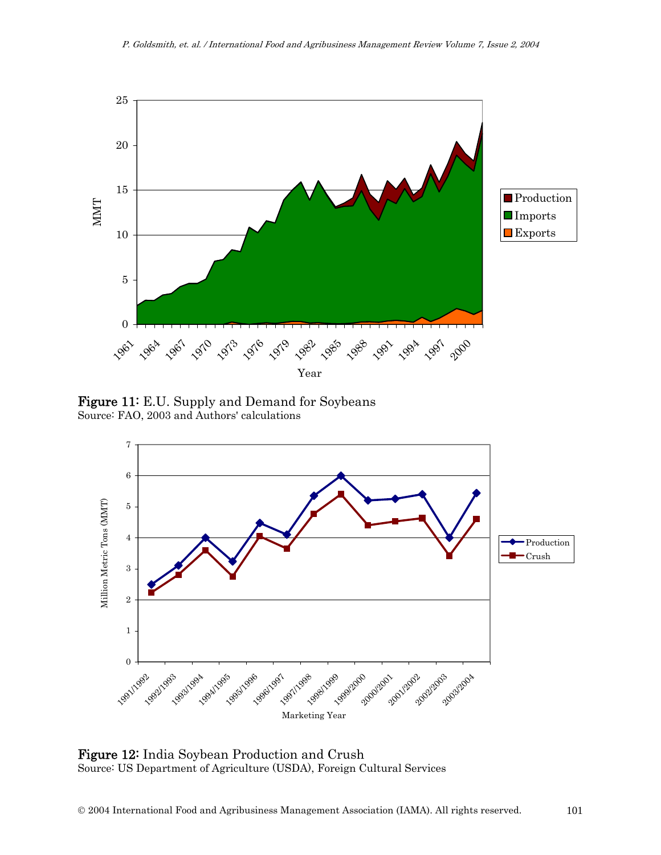

Figure 11: E.U. Supply and Demand for Soybeans Source: FAO, 2003 and Authors' calculations



Figure 12: India Soybean Production and Crush Source: US Department of Agriculture (USDA), Foreign Cultural Services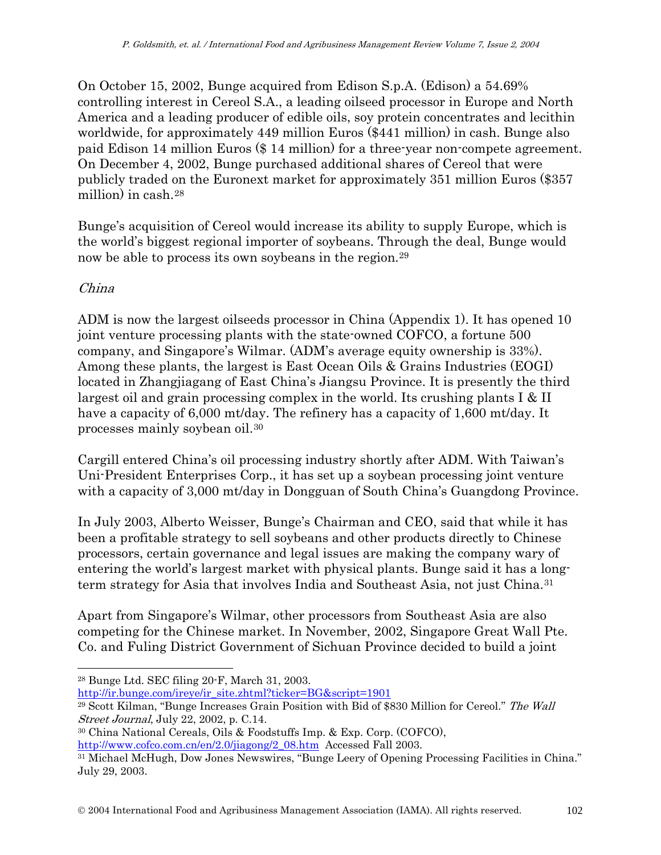On October 15, 2002, Bunge acquired from Edison S.p.A. (Edison) a 54.69% controlling interest in Cereol S.A., a leading oilseed processor in Europe and North America and a leading producer of edible oils, soy protein concentrates and lecithin worldwide, for approximately 449 million Euros (\$441 million) in cash. Bunge also paid Edison 14 million Euros (\$ 14 million) for a three-year non-compete agreement. On December 4, 2002, Bunge purchased additional shares of Cereol that were publicly traded on the Euronext market for approximately 351 million Euros (\$357 million) in cash.[28](#page-15-0)

Bunge's acquisition of Cereol would increase its ability to supply Europe, which is the world's biggest regional importer of soybeans. Through the deal, Bunge would now be able to process its own soybeans in the region.<sup>[29](#page-15-1)</sup>

### China

 $\overline{a}$ 

ADM is now the largest oilseeds processor in China (Appendix 1). It has opened 10 joint venture processing plants with the state-owned COFCO, a fortune 500 company, and Singapore's Wilmar. (ADM's average equity ownership is 33%). Among these plants, the largest is East Ocean Oils & Grains Industries (EOGI) located in Zhangjiagang of East China's Jiangsu Province. It is presently the third largest oil and grain processing complex in the world. Its crushing plants I & II have a capacity of 6,000 mt/day. The refinery has a capacity of 1,600 mt/day. It processes mainly soybean oil.[30](#page-15-2)

Cargill entered China's oil processing industry shortly after ADM. With Taiwan's Uni-President Enterprises Corp., it has set up a soybean processing joint venture with a capacity of 3,000 mt/day in Dongguan of South China's Guangdong Province.

In July 2003, Alberto Weisser, Bunge's Chairman and CEO, said that while it has been a profitable strategy to sell soybeans and other products directly to Chinese processors, certain governance and legal issues are making the company wary of entering the world's largest market with physical plants. Bunge said it has a longterm strategy for Asia that involves India and Southeast Asia, not just China.[31](#page-15-3)

Apart from Singapore's Wilmar, other processors from Southeast Asia are also competing for the Chinese market. In November, 2002, Singapore Great Wall Pte. Co. and Fuling District Government of Sichuan Province decided to build a joint

[http://ir.bunge.com/ireye/ir\\_site.zhtml?ticker=BG&script=1901](http://ir.bunge.com/ireye/ir_site.zhtml?ticker=BG&script=1901)

<span id="page-15-0"></span><sup>28</sup> Bunge Ltd. SEC filing 20-F, March 31, 2003.

<span id="page-15-1"></span><sup>&</sup>lt;sup>29</sup> Scott Kilman, "Bunge Increases Grain Position with Bid of \$830 Million for Cereol." The Wall Street Journal, July 22, 2002, p. C.14.

<span id="page-15-2"></span><sup>30</sup> China National Cereals, Oils & Foodstuffs Imp. & Exp. Corp. (COFCO),

[http://www.cofco.com.cn/en/2.0/jiagong/2\\_08.htm](http://www.cofco.com.cn/en/2.0/jiagong/2_08.htm) Accessed Fall 2003.

<span id="page-15-3"></span><sup>31</sup> Michael McHugh, Dow Jones Newswires, "Bunge Leery of Opening Processing Facilities in China." July 29, 2003.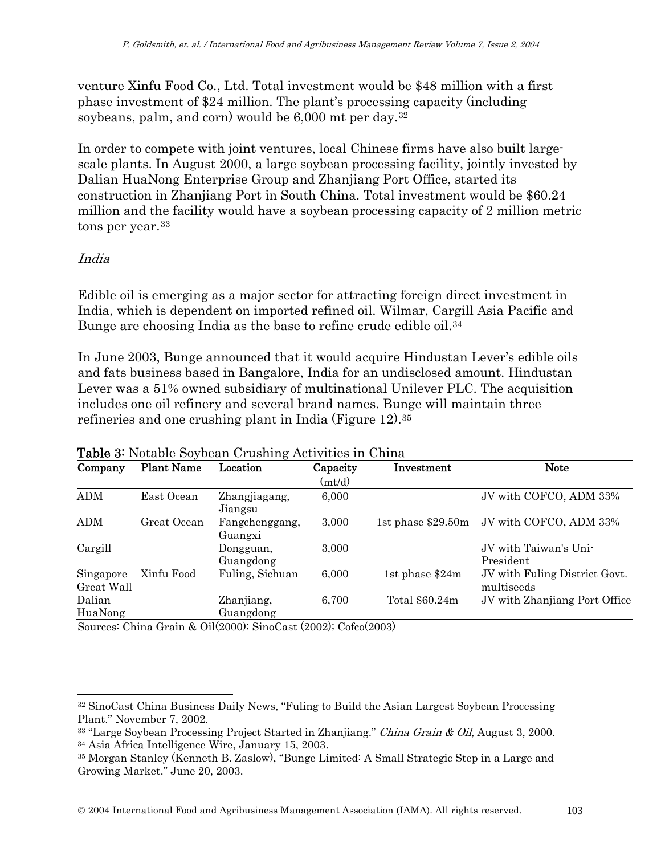venture Xinfu Food Co., Ltd. Total investment would be \$48 million with a first phase investment of \$24 million. The plant's processing capacity (including soybeans, palm, and corn) would be 6,000 mt per day.[32](#page-16-0)

In order to compete with joint ventures, local Chinese firms have also built largescale plants. In August 2000, a large soybean processing facility, jointly invested by Dalian HuaNong Enterprise Group and Zhanjiang Port Office, started its construction in Zhanjiang Port in South China. Total investment would be \$60.24 million and the facility would have a soybean processing capacity of 2 million metric tons per year.<sup>[33](#page-16-1)</sup>

### India

 $\overline{a}$ 

Edible oil is emerging as a major sector for attracting foreign direct investment in India, which is dependent on imported refined oil. Wilmar, Cargill Asia Pacific and Bunge are choosing India as the base to refine crude edible oil[.34](#page-16-2)

In June 2003, Bunge announced that it would acquire Hindustan Lever's edible oils and fats business based in Bangalore, India for an undisclosed amount. Hindustan Lever was a 51% owned subsidiary of multinational Unilever PLC. The acquisition includes one oil refinery and several brand names. Bunge will maintain three refineries and one crushing plant in India (Figure 12)[.35](#page-16-3)

| Company                 | <b>Plant Name</b> | Location                  | Capacity<br>(mt/d) | Investment          | <b>Note</b>                                 |
|-------------------------|-------------------|---------------------------|--------------------|---------------------|---------------------------------------------|
| ADM                     | East Ocean        | Zhangjiagang,<br>Jiangsu  | 6,000              |                     | JV with COFCO, ADM 33%                      |
| <b>ADM</b>              | Great Ocean       | Fangchenggang,<br>Guangxi | 3,000              | 1st phase $$29.50m$ | JV with COFCO, ADM 33%                      |
| Cargill                 |                   | Dongguan,<br>Guangdong    | 3,000              |                     | JV with Taiwan's Uni-<br>President          |
| Singapore<br>Great Wall | Xinfu Food        | Fuling, Sichuan           | 6,000              | 1st phase $$24m$    | JV with Fuling District Govt.<br>multiseeds |
| Dalian<br>HuaNong       |                   | Zhanjiang,<br>Guangdong   | 6,700              | Total \$60.24m      | JV with Zhanjiang Port Office               |

#### Table 3: Notable Soybean Crushing Activities in China

Sources: China Grain & Oil(2000); SinoCast (2002); Cofco(2003)

<span id="page-16-0"></span><sup>32</sup> SinoCast China Business Daily News, "Fuling to Build the Asian Largest Soybean Processing Plant." November 7, 2002.

<span id="page-16-2"></span><span id="page-16-1"></span><sup>&</sup>lt;sup>33</sup> "Large Soybean Processing Project Started in Zhanjiang." *China Grain & Oil*, August 3, 2000. 34 Asia Africa Intelligence Wire, January 15, 2003.

<span id="page-16-3"></span><sup>35</sup> Morgan Stanley (Kenneth B. Zaslow), "Bunge Limited: A Small Strategic Step in a Large and Growing Market." June 20, 2003.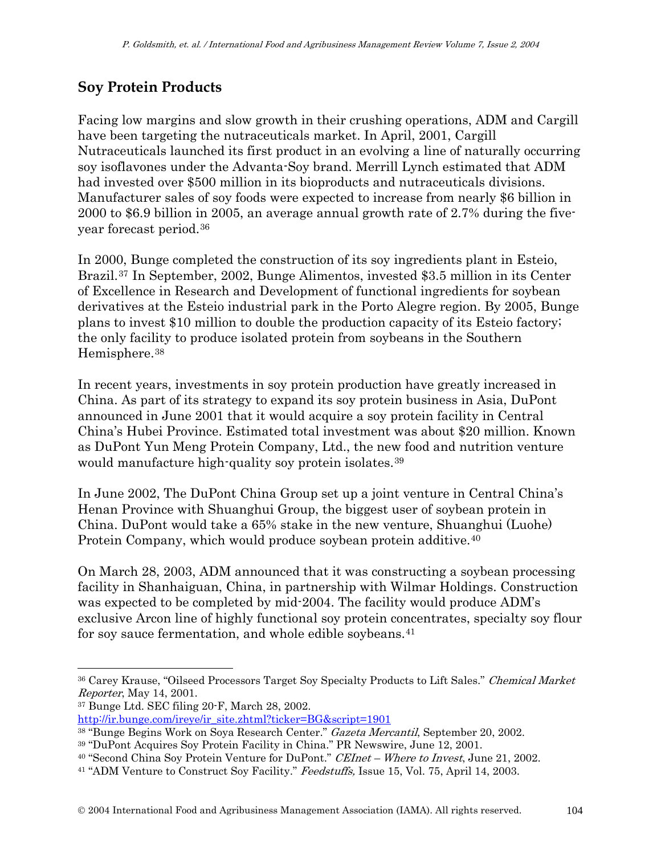## **Soy Protein Products**

Facing low margins and slow growth in their crushing operations, ADM and Cargill have been targeting the nutraceuticals market. In April, 2001, Cargill Nutraceuticals launched its first product in an evolving a line of naturally occurring soy isoflavones under the Advanta-Soy brand. Merrill Lynch estimated that ADM had invested over \$500 million in its bioproducts and nutraceuticals divisions. Manufacturer sales of soy foods were expected to increase from nearly \$6 billion in 2000 to \$6.9 billion in 2005, an average annual growth rate of 2.7% during the fiveyear forecast period.[36](#page-17-0)

In 2000, Bunge completed the construction of its soy ingredients plant in Esteio, Brazil.[37](#page-17-1) In September, 2002, Bunge Alimentos, invested \$3.5 million in its Center of Excellence in Research and Development of functional ingredients for soybean derivatives at the Esteio industrial park in the Porto Alegre region. By 2005, Bunge plans to invest \$10 million to double the production capacity of its Esteio factory; the only facility to produce isolated protein from soybeans in the Southern Hemisphere.[38](#page-17-2)

In recent years, investments in soy protein production have greatly increased in China. As part of its strategy to expand its soy protein business in Asia, DuPont announced in June 2001 that it would acquire a soy protein facility in Central China's Hubei Province. Estimated total investment was about \$20 million. Known as DuPont Yun Meng Protein Company, Ltd., the new food and nutrition venture would manufacture high-quality soy protein isolates.[39](#page-17-3)

In June 2002, The DuPont China Group set up a joint venture in Central China's Henan Province with Shuanghui Group, the biggest user of soybean protein in China. DuPont would take a 65% stake in the new venture, Shuanghui (Luohe) Protein Company, which would produce soybean protein additive.<sup>[40](#page-17-4)</sup>

On March 28, 2003, ADM announced that it was constructing a soybean processing facility in Shanhaiguan, China, in partnership with Wilmar Holdings. Construction was expected to be completed by mid-2004. The facility would produce ADM's exclusive Arcon line of highly functional soy protein concentrates, specialty soy flour for soy sauce fermentation, and whole edible soybeans.[41](#page-17-5)

 $\overline{a}$ 

<span id="page-17-0"></span><sup>&</sup>lt;sup>36</sup> Carey Krause, "Oilseed Processors Target Soy Specialty Products to Lift Sales." Chemical Market Reporter, May 14, 2001.

<span id="page-17-1"></span><sup>37</sup> Bunge Ltd. SEC filing 20-F, March 28, 2002.

[http://ir.bunge.com/ireye/ir\\_site.zhtml?ticker=BG&script=1901](http://ir.bunge.com/ireye/ir_site.zhtml?ticker=BG&script=1901)

<span id="page-17-2"></span><sup>38 &</sup>quot;Bunge Begins Work on Soya Research Center." Gazeta Mercantil, September 20, 2002.

<span id="page-17-3"></span><sup>39 &</sup>quot;DuPont Acquires Soy Protein Facility in China." PR Newswire, June 12, 2001.

<span id="page-17-5"></span><span id="page-17-4"></span><sup>&</sup>lt;sup>40</sup> "Second China Soy Protein Venture for DuPont." *CEInet – Where to Invest*, June 21, 2002.<br><sup>41</sup> "ADM Venture to Construct Soy Facility." *Feedstuffs*, Issue 15, Vol. 75, April 14, 2003.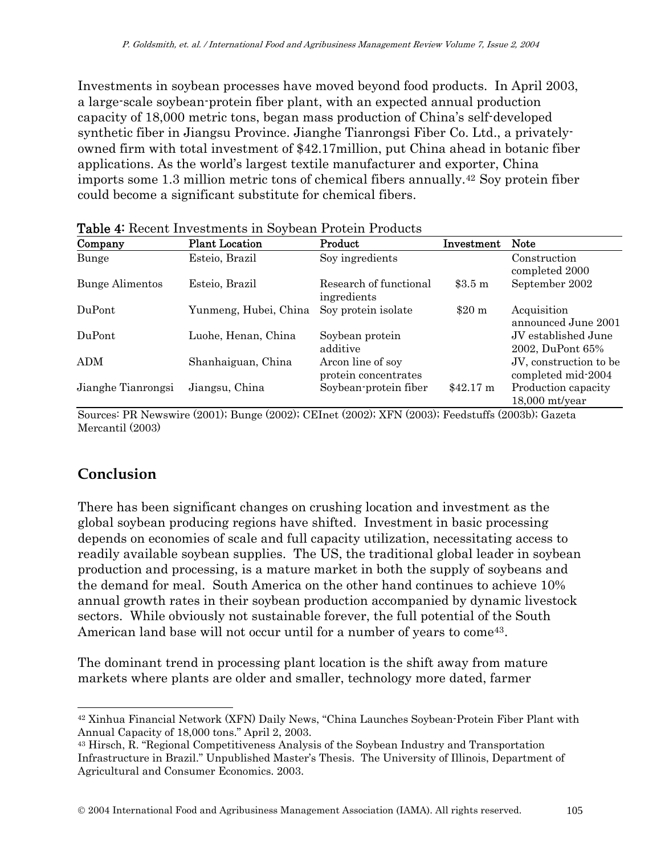Investments in soybean processes have moved beyond food products. In April 2003, a large-scale soybean-protein fiber plant, with an expected annual production capacity of 18,000 metric tons, began mass production of China's self-developed synthetic fiber in Jiangsu Province. Jianghe Tianrongsi Fiber Co. Ltd., a privatelyowned firm with total investment of \$42.17million, put China ahead in botanic fiber applications. As the world's largest textile manufacturer and exporter, China imports some 1.3 million metric tons of chemical fibers annually.[42](#page-18-0) Soy protein fiber could become a significant substitute for chemical fibers.

| Company                | <b>Plant Location</b> | Product                                   | Investment         | <b>Note</b>                                  |
|------------------------|-----------------------|-------------------------------------------|--------------------|----------------------------------------------|
| Bunge                  | Esteio, Brazil        | Soy ingredients                           |                    | Construction<br>completed 2000               |
| <b>Bunge Alimentos</b> | Esteio, Brazil        | Research of functional<br>ingredients     | \$3.5 <sub>m</sub> | September 2002                               |
| DuPont                 | Yunmeng, Hubei, China | Soy protein isolate                       | \$20 m             | Acquisition<br>announced June 2001           |
| DuPont                 | Luohe, Henan, China   | Soybean protein<br>additive               |                    | JV established June<br>2002, DuPont 65%      |
| ADM                    | Shanhaiguan, China    | Arcon line of soy<br>protein concentrates |                    | JV, construction to be<br>completed mid-2004 |
| Jianghe Tianrongsi     | Jiangsu, China        | Soybean-protein fiber                     | $$42.17 \text{ m}$ | Production capacity<br>$18,000$ mt/year      |

Table 4: Recent Investments in Soybean Protein Products

Sources: PR Newswire (2001); Bunge (2002); CEInet (2002); XFN (2003); Feedstuffs (2003b); Gazeta Mercantil (2003)

## **Conclusion**

 $\overline{a}$ 

There has been significant changes on crushing location and investment as the global soybean producing regions have shifted. Investment in basic processing depends on economies of scale and full capacity utilization, necessitating access to readily available soybean supplies. The US, the traditional global leader in soybean production and processing, is a mature market in both the supply of soybeans and the demand for meal. South America on the other hand continues to achieve 10% annual growth rates in their soybean production accompanied by dynamic livestock sectors. While obviously not sustainable forever, the full potential of the South American land base will not occur until for a number of years to come<sup>[43](#page-18-1)</sup>.

The dominant trend in processing plant location is the shift away from mature markets where plants are older and smaller, technology more dated, farmer

<span id="page-18-0"></span><sup>42</sup> Xinhua Financial Network (XFN) Daily News, "China Launches Soybean-Protein Fiber Plant with Annual Capacity of 18,000 tons." April 2, 2003.

<span id="page-18-1"></span><sup>43</sup> Hirsch, R. "Regional Competitiveness Analysis of the Soybean Industry and Transportation Infrastructure in Brazil." Unpublished Master's Thesis. The University of Illinois, Department of Agricultural and Consumer Economics. 2003.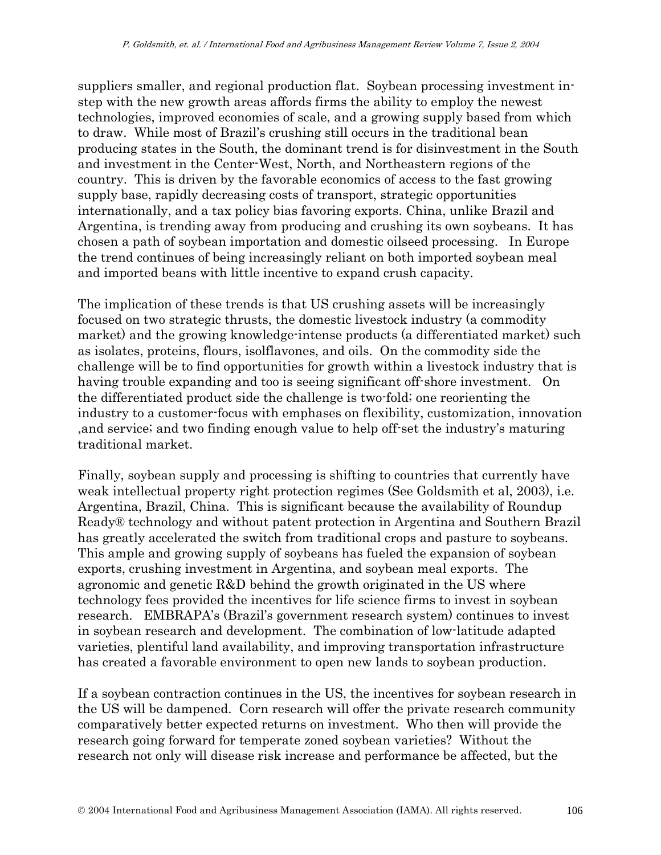suppliers smaller, and regional production flat. Soybean processing investment instep with the new growth areas affords firms the ability to employ the newest technologies, improved economies of scale, and a growing supply based from which to draw. While most of Brazil's crushing still occurs in the traditional bean producing states in the South, the dominant trend is for disinvestment in the South and investment in the Center-West, North, and Northeastern regions of the country. This is driven by the favorable economics of access to the fast growing supply base, rapidly decreasing costs of transport, strategic opportunities internationally, and a tax policy bias favoring exports. China, unlike Brazil and Argentina, is trending away from producing and crushing its own soybeans. It has chosen a path of soybean importation and domestic oilseed processing. In Europe the trend continues of being increasingly reliant on both imported soybean meal and imported beans with little incentive to expand crush capacity.

The implication of these trends is that US crushing assets will be increasingly focused on two strategic thrusts, the domestic livestock industry (a commodity market) and the growing knowledge-intense products (a differentiated market) such as isolates, proteins, flours, isolflavones, and oils. On the commodity side the challenge will be to find opportunities for growth within a livestock industry that is having trouble expanding and too is seeing significant off-shore investment. On the differentiated product side the challenge is two-fold; one reorienting the industry to a customer-focus with emphases on flexibility, customization, innovation ,and service; and two finding enough value to help off-set the industry's maturing traditional market.

Finally, soybean supply and processing is shifting to countries that currently have weak intellectual property right protection regimes (See Goldsmith et al, 2003), i.e. Argentina, Brazil, China. This is significant because the availability of Roundup Ready® technology and without patent protection in Argentina and Southern Brazil has greatly accelerated the switch from traditional crops and pasture to soybeans. This ample and growing supply of soybeans has fueled the expansion of soybean exports, crushing investment in Argentina, and soybean meal exports. The agronomic and genetic R&D behind the growth originated in the US where technology fees provided the incentives for life science firms to invest in soybean research. EMBRAPA's (Brazil's government research system) continues to invest in soybean research and development. The combination of low-latitude adapted varieties, plentiful land availability, and improving transportation infrastructure has created a favorable environment to open new lands to soybean production.

If a soybean contraction continues in the US, the incentives for soybean research in the US will be dampened. Corn research will offer the private research community comparatively better expected returns on investment. Who then will provide the research going forward for temperate zoned soybean varieties? Without the research not only will disease risk increase and performance be affected, but the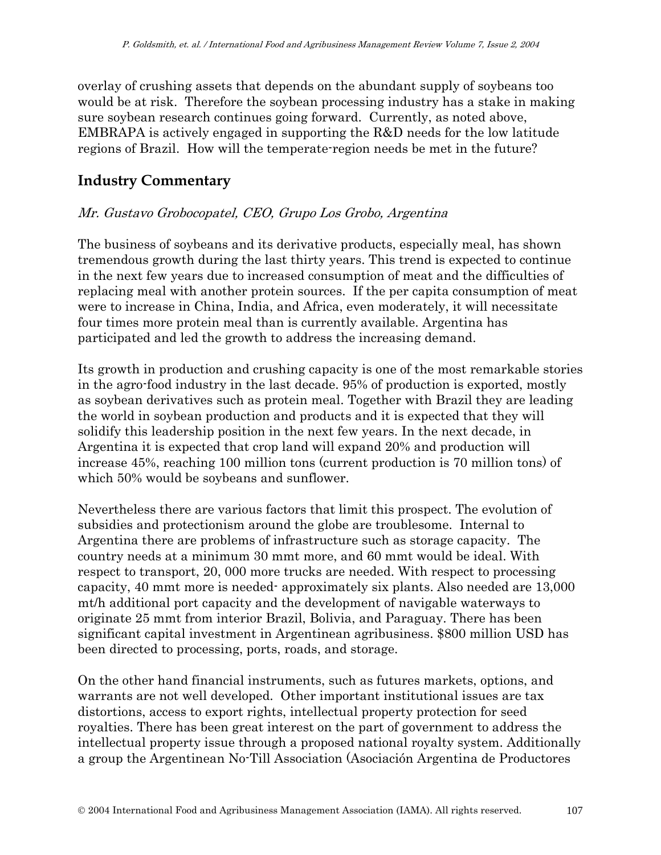overlay of crushing assets that depends on the abundant supply of soybeans too would be at risk. Therefore the soybean processing industry has a stake in making sure soybean research continues going forward. Currently, as noted above, EMBRAPA is actively engaged in supporting the R&D needs for the low latitude regions of Brazil. How will the temperate-region needs be met in the future?

## **Industry Commentary**

## Mr. Gustavo Grobocopatel, CEO, Grupo Los Grobo, Argentina

The business of soybeans and its derivative products, especially meal, has shown tremendous growth during the last thirty years. This trend is expected to continue in the next few years due to increased consumption of meat and the difficulties of replacing meal with another protein sources. If the per capita consumption of meat were to increase in China, India, and Africa, even moderately, it will necessitate four times more protein meal than is currently available. Argentina has participated and led the growth to address the increasing demand.

Its growth in production and crushing capacity is one of the most remarkable stories in the agro-food industry in the last decade. 95% of production is exported, mostly as soybean derivatives such as protein meal. Together with Brazil they are leading the world in soybean production and products and it is expected that they will solidify this leadership position in the next few years. In the next decade, in Argentina it is expected that crop land will expand 20% and production will increase 45%, reaching 100 million tons (current production is 70 million tons) of which 50% would be soybeans and sunflower.

Nevertheless there are various factors that limit this prospect. The evolution of subsidies and protectionism around the globe are troublesome. Internal to Argentina there are problems of infrastructure such as storage capacity. The country needs at a minimum 30 mmt more, and 60 mmt would be ideal. With respect to transport, 20, 000 more trucks are needed. With respect to processing capacity, 40 mmt more is needed- approximately six plants. Also needed are 13,000 mt/h additional port capacity and the development of navigable waterways to originate 25 mmt from interior Brazil, Bolivia, and Paraguay. There has been significant capital investment in Argentinean agribusiness. \$800 million USD has been directed to processing, ports, roads, and storage.

On the other hand financial instruments, such as futures markets, options, and warrants are not well developed. Other important institutional issues are tax distortions, access to export rights, intellectual property protection for seed royalties. There has been great interest on the part of government to address the intellectual property issue through a proposed national royalty system. Additionally a group the Argentinean No-Till Association (Asociación Argentina de Productores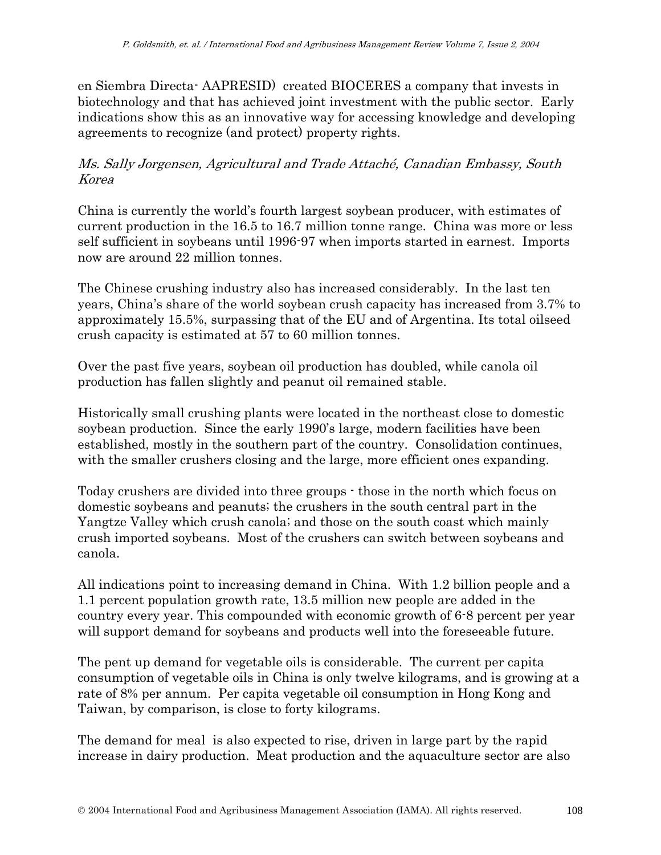en Siembra Directa- AAPRESID) created BIOCERES a company that invests in biotechnology and that has achieved joint investment with the public sector. Early indications show this as an innovative way for accessing knowledge and developing agreements to recognize (and protect) property rights.

## Ms. Sally Jorgensen, Agricultural and Trade Attaché, Canadian Embassy, South Korea

China is currently the world's fourth largest soybean producer, with estimates of current production in the 16.5 to 16.7 million tonne range. China was more or less self sufficient in soybeans until 1996-97 when imports started in earnest. Imports now are around 22 million tonnes.

The Chinese crushing industry also has increased considerably. In the last ten years, China's share of the world soybean crush capacity has increased from 3.7% to approximately 15.5%, surpassing that of the EU and of Argentina. Its total oilseed crush capacity is estimated at 57 to 60 million tonnes.

Over the past five years, soybean oil production has doubled, while canola oil production has fallen slightly and peanut oil remained stable.

Historically small crushing plants were located in the northeast close to domestic soybean production. Since the early 1990's large, modern facilities have been established, mostly in the southern part of the country. Consolidation continues, with the smaller crushers closing and the large, more efficient ones expanding.

Today crushers are divided into three groups - those in the north which focus on domestic soybeans and peanuts; the crushers in the south central part in the Yangtze Valley which crush canola; and those on the south coast which mainly crush imported soybeans. Most of the crushers can switch between soybeans and canola.

All indications point to increasing demand in China. With 1.2 billion people and a 1.1 percent population growth rate, 13.5 million new people are added in the country every year. This compounded with economic growth of 6-8 percent per year will support demand for soybeans and products well into the foreseeable future.

The pent up demand for vegetable oils is considerable. The current per capita consumption of vegetable oils in China is only twelve kilograms, and is growing at a rate of 8% per annum. Per capita vegetable oil consumption in Hong Kong and Taiwan, by comparison, is close to forty kilograms.

The demand for meal is also expected to rise, driven in large part by the rapid increase in dairy production. Meat production and the aquaculture sector are also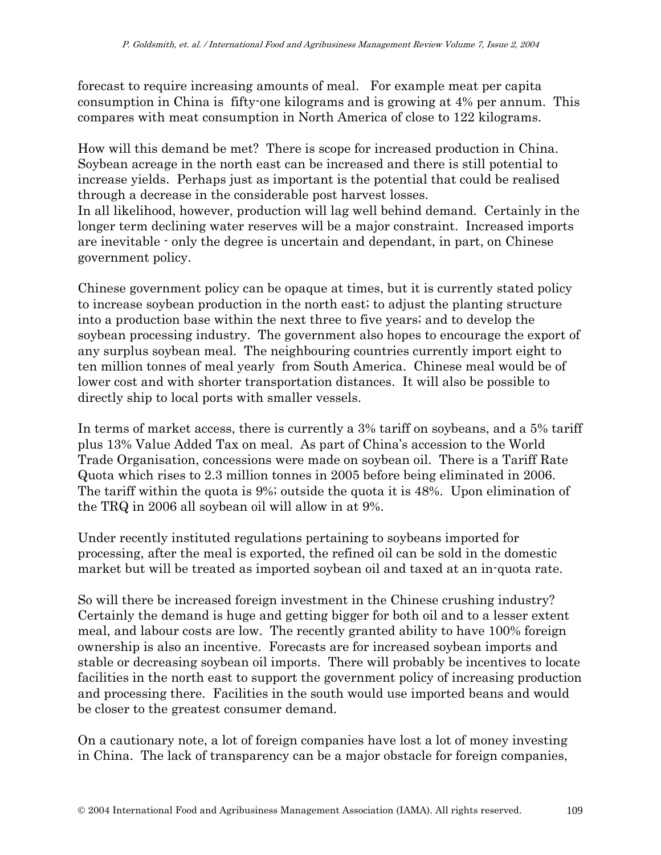forecast to require increasing amounts of meal. For example meat per capita consumption in China is fifty-one kilograms and is growing at 4% per annum. This compares with meat consumption in North America of close to 122 kilograms.

How will this demand be met? There is scope for increased production in China. Soybean acreage in the north east can be increased and there is still potential to increase yields. Perhaps just as important is the potential that could be realised through a decrease in the considerable post harvest losses. In all likelihood, however, production will lag well behind demand. Certainly in the

longer term declining water reserves will be a major constraint. Increased imports are inevitable - only the degree is uncertain and dependant, in part, on Chinese government policy.

Chinese government policy can be opaque at times, but it is currently stated policy to increase soybean production in the north east; to adjust the planting structure into a production base within the next three to five years; and to develop the soybean processing industry. The government also hopes to encourage the export of any surplus soybean meal. The neighbouring countries currently import eight to ten million tonnes of meal yearly from South America. Chinese meal would be of lower cost and with shorter transportation distances. It will also be possible to directly ship to local ports with smaller vessels.

In terms of market access, there is currently a 3% tariff on soybeans, and a 5% tariff plus 13% Value Added Tax on meal. As part of China's accession to the World Trade Organisation, concessions were made on soybean oil. There is a Tariff Rate Quota which rises to 2.3 million tonnes in 2005 before being eliminated in 2006. The tariff within the quota is 9%; outside the quota it is 48%. Upon elimination of the TRQ in 2006 all soybean oil will allow in at 9%.

Under recently instituted regulations pertaining to soybeans imported for processing, after the meal is exported, the refined oil can be sold in the domestic market but will be treated as imported soybean oil and taxed at an in-quota rate.

So will there be increased foreign investment in the Chinese crushing industry? Certainly the demand is huge and getting bigger for both oil and to a lesser extent meal, and labour costs are low. The recently granted ability to have 100% foreign ownership is also an incentive. Forecasts are for increased soybean imports and stable or decreasing soybean oil imports. There will probably be incentives to locate facilities in the north east to support the government policy of increasing production and processing there. Facilities in the south would use imported beans and would be closer to the greatest consumer demand.

On a cautionary note, a lot of foreign companies have lost a lot of money investing in China. The lack of transparency can be a major obstacle for foreign companies,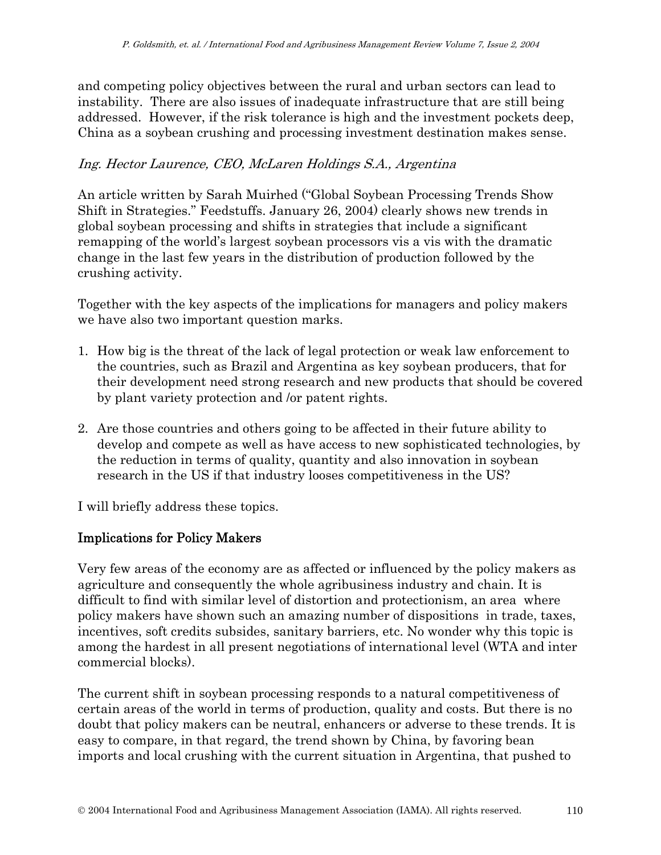and competing policy objectives between the rural and urban sectors can lead to instability. There are also issues of inadequate infrastructure that are still being addressed. However, if the risk tolerance is high and the investment pockets deep, China as a soybean crushing and processing investment destination makes sense.

### Ing. Hector Laurence, CEO, McLaren Holdings S.A., Argentina

An article written by Sarah Muirhed ("Global Soybean Processing Trends Show Shift in Strategies." Feedstuffs. January 26, 2004) clearly shows new trends in global soybean processing and shifts in strategies that include a significant remapping of the world's largest soybean processors vis a vis with the dramatic change in the last few years in the distribution of production followed by the crushing activity.

Together with the key aspects of the implications for managers and policy makers we have also two important question marks.

- 1. How big is the threat of the lack of legal protection or weak law enforcement to the countries, such as Brazil and Argentina as key soybean producers, that for their development need strong research and new products that should be covered by plant variety protection and /or patent rights.
- 2. Are those countries and others going to be affected in their future ability to develop and compete as well as have access to new sophisticated technologies, by the reduction in terms of quality, quantity and also innovation in soybean research in the US if that industry looses competitiveness in the US?

I will briefly address these topics.

### Implications for Policy Makers

Very few areas of the economy are as affected or influenced by the policy makers as agriculture and consequently the whole agribusiness industry and chain. It is difficult to find with similar level of distortion and protectionism, an area where policy makers have shown such an amazing number of dispositions in trade, taxes, incentives, soft credits subsides, sanitary barriers, etc. No wonder why this topic is among the hardest in all present negotiations of international level (WTA and inter commercial blocks).

The current shift in soybean processing responds to a natural competitiveness of certain areas of the world in terms of production, quality and costs. But there is no doubt that policy makers can be neutral, enhancers or adverse to these trends. It is easy to compare, in that regard, the trend shown by China, by favoring bean imports and local crushing with the current situation in Argentina, that pushed to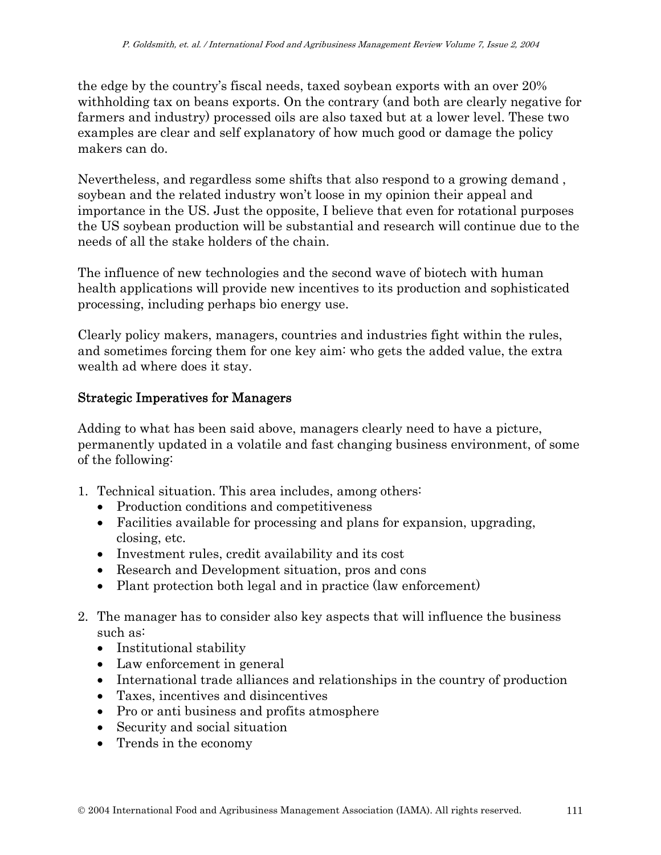the edge by the country's fiscal needs, taxed soybean exports with an over 20% withholding tax on beans exports. On the contrary (and both are clearly negative for farmers and industry) processed oils are also taxed but at a lower level. These two examples are clear and self explanatory of how much good or damage the policy makers can do.

Nevertheless, and regardless some shifts that also respond to a growing demand , soybean and the related industry won't loose in my opinion their appeal and importance in the US. Just the opposite, I believe that even for rotational purposes the US soybean production will be substantial and research will continue due to the needs of all the stake holders of the chain.

The influence of new technologies and the second wave of biotech with human health applications will provide new incentives to its production and sophisticated processing, including perhaps bio energy use.

Clearly policy makers, managers, countries and industries fight within the rules, and sometimes forcing them for one key aim: who gets the added value, the extra wealth ad where does it stay.

### Strategic Imperatives for Managers

Adding to what has been said above, managers clearly need to have a picture, permanently updated in a volatile and fast changing business environment, of some of the following:

- 1. Technical situation. This area includes, among others:
	- Production conditions and competitiveness
	- Facilities available for processing and plans for expansion, upgrading, closing, etc.
	- Investment rules, credit availability and its cost
	- Research and Development situation, pros and cons
	- Plant protection both legal and in practice (law enforcement)
- 2. The manager has to consider also key aspects that will influence the business such as:
	- Institutional stability
	- Law enforcement in general
	- International trade alliances and relationships in the country of production
	- Taxes, incentives and disincentives
	- Pro or anti business and profits atmosphere
	- Security and social situation
	- Trends in the economy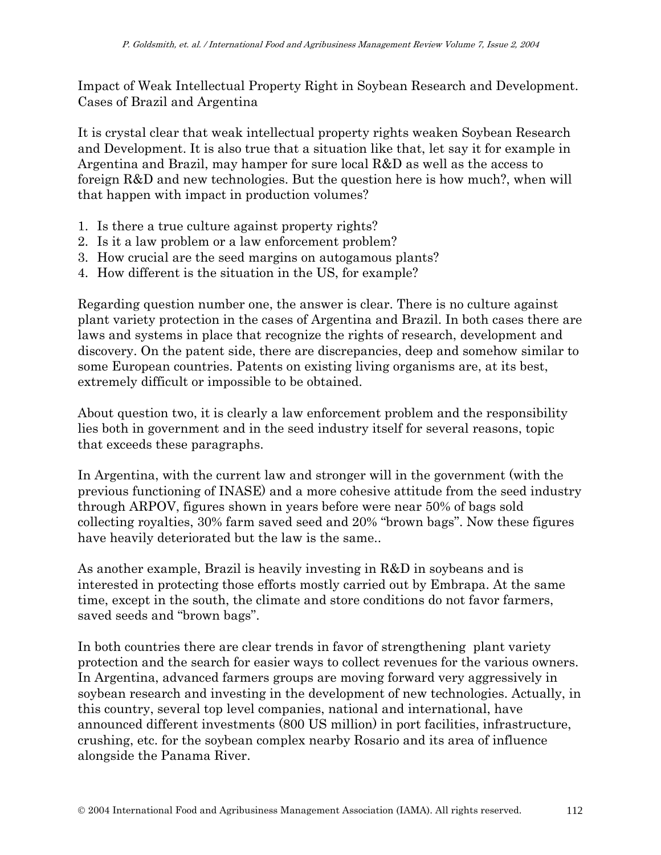Impact of Weak Intellectual Property Right in Soybean Research and Development. Cases of Brazil and Argentina

It is crystal clear that weak intellectual property rights weaken Soybean Research and Development. It is also true that a situation like that, let say it for example in Argentina and Brazil, may hamper for sure local R&D as well as the access to foreign R&D and new technologies. But the question here is how much?, when will that happen with impact in production volumes?

- 1. Is there a true culture against property rights?
- 2. Is it a law problem or a law enforcement problem?
- 3. How crucial are the seed margins on autogamous plants?
- 4. How different is the situation in the US, for example?

Regarding question number one, the answer is clear. There is no culture against plant variety protection in the cases of Argentina and Brazil. In both cases there are laws and systems in place that recognize the rights of research, development and discovery. On the patent side, there are discrepancies, deep and somehow similar to some European countries. Patents on existing living organisms are, at its best, extremely difficult or impossible to be obtained.

About question two, it is clearly a law enforcement problem and the responsibility lies both in government and in the seed industry itself for several reasons, topic that exceeds these paragraphs.

In Argentina, with the current law and stronger will in the government (with the previous functioning of INASE) and a more cohesive attitude from the seed industry through ARPOV, figures shown in years before were near 50% of bags sold collecting royalties, 30% farm saved seed and 20% "brown bags". Now these figures have heavily deteriorated but the law is the same..

As another example, Brazil is heavily investing in R&D in soybeans and is interested in protecting those efforts mostly carried out by Embrapa. At the same time, except in the south, the climate and store conditions do not favor farmers, saved seeds and "brown bags".

In both countries there are clear trends in favor of strengthening plant variety protection and the search for easier ways to collect revenues for the various owners. In Argentina, advanced farmers groups are moving forward very aggressively in soybean research and investing in the development of new technologies. Actually, in this country, several top level companies, national and international, have announced different investments (800 US million) in port facilities, infrastructure, crushing, etc. for the soybean complex nearby Rosario and its area of influence alongside the Panama River.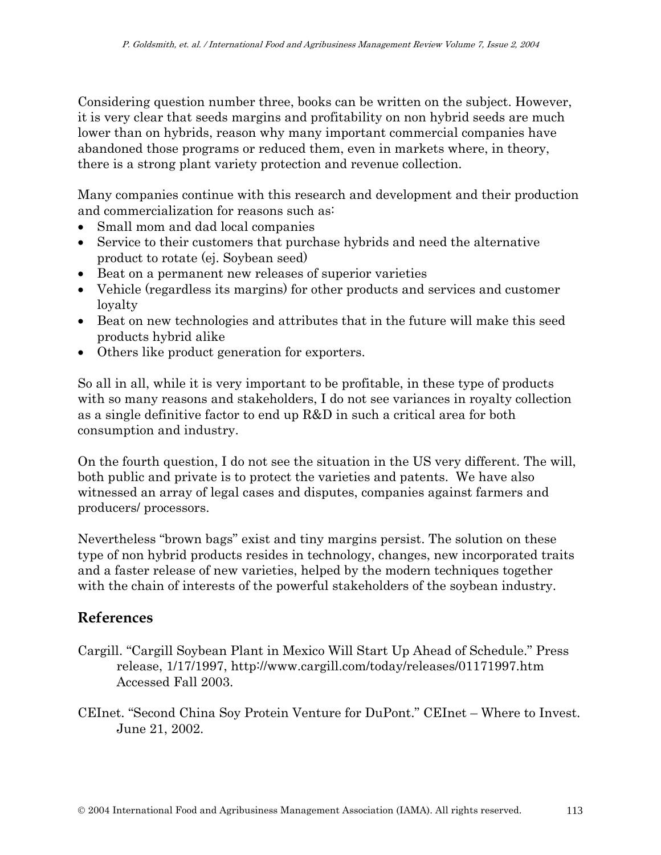Considering question number three, books can be written on the subject. However, it is very clear that seeds margins and profitability on non hybrid seeds are much lower than on hybrids, reason why many important commercial companies have abandoned those programs or reduced them, even in markets where, in theory, there is a strong plant variety protection and revenue collection.

Many companies continue with this research and development and their production and commercialization for reasons such as:

- Small mom and dad local companies
- Service to their customers that purchase hybrids and need the alternative product to rotate (ej. Soybean seed)
- Beat on a permanent new releases of superior varieties
- Vehicle (regardless its margins) for other products and services and customer loyalty
- Beat on new technologies and attributes that in the future will make this seed products hybrid alike
- Others like product generation for exporters.

So all in all, while it is very important to be profitable, in these type of products with so many reasons and stakeholders, I do not see variances in royalty collection as a single definitive factor to end up R&D in such a critical area for both consumption and industry.

On the fourth question, I do not see the situation in the US very different. The will, both public and private is to protect the varieties and patents. We have also witnessed an array of legal cases and disputes, companies against farmers and producers/ processors.

Nevertheless "brown bags" exist and tiny margins persist. The solution on these type of non hybrid products resides in technology, changes, new incorporated traits and a faster release of new varieties, helped by the modern techniques together with the chain of interests of the powerful stakeholders of the soybean industry.

## **References**

- Cargill. "Cargill Soybean Plant in Mexico Will Start Up Ahead of Schedule." Press release, 1/17/1997, http://www.cargill.com/today/releases/01171997.htm Accessed Fall 2003.
- CEInet. "Second China Soy Protein Venture for DuPont." CEInet Where to Invest. June 21, 2002.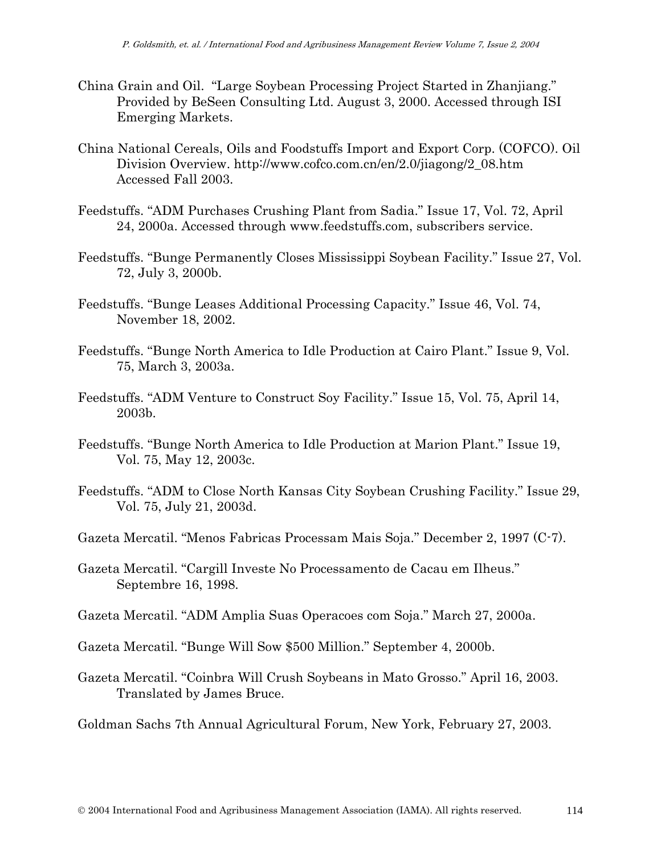- China Grain and Oil. "Large Soybean Processing Project Started in Zhanjiang." Provided by BeSeen Consulting Ltd. August 3, 2000. Accessed through ISI Emerging Markets.
- China National Cereals, Oils and Foodstuffs Import and Export Corp. (COFCO). Oil Division Overview. http://www.cofco.com.cn/en/2.0/jiagong/2\_08.htm Accessed Fall 2003.
- Feedstuffs. "ADM Purchases Crushing Plant from Sadia." Issue 17, Vol. 72, April 24, 2000a. Accessed through www.feedstuffs.com, subscribers service.
- Feedstuffs. "Bunge Permanently Closes Mississippi Soybean Facility." Issue 27, Vol. 72, July 3, 2000b.
- Feedstuffs. "Bunge Leases Additional Processing Capacity." Issue 46, Vol. 74, November 18, 2002.
- Feedstuffs. "Bunge North America to Idle Production at Cairo Plant." Issue 9, Vol. 75, March 3, 2003a.
- Feedstuffs. "ADM Venture to Construct Soy Facility." Issue 15, Vol. 75, April 14, 2003b.
- Feedstuffs. "Bunge North America to Idle Production at Marion Plant." Issue 19, Vol. 75, May 12, 2003c.
- Feedstuffs. "ADM to Close North Kansas City Soybean Crushing Facility." Issue 29, Vol. 75, July 21, 2003d.
- Gazeta Mercatil. "Menos Fabricas Processam Mais Soja." December 2, 1997 (C-7).
- Gazeta Mercatil. "Cargill Investe No Processamento de Cacau em Ilheus." Septembre 16, 1998.
- Gazeta Mercatil. "ADM Amplia Suas Operacoes com Soja." March 27, 2000a.
- Gazeta Mercatil. "Bunge Will Sow \$500 Million." September 4, 2000b.
- Gazeta Mercatil. "Coinbra Will Crush Soybeans in Mato Grosso." April 16, 2003. Translated by James Bruce.
- Goldman Sachs 7th Annual Agricultural Forum, New York, February 27, 2003.